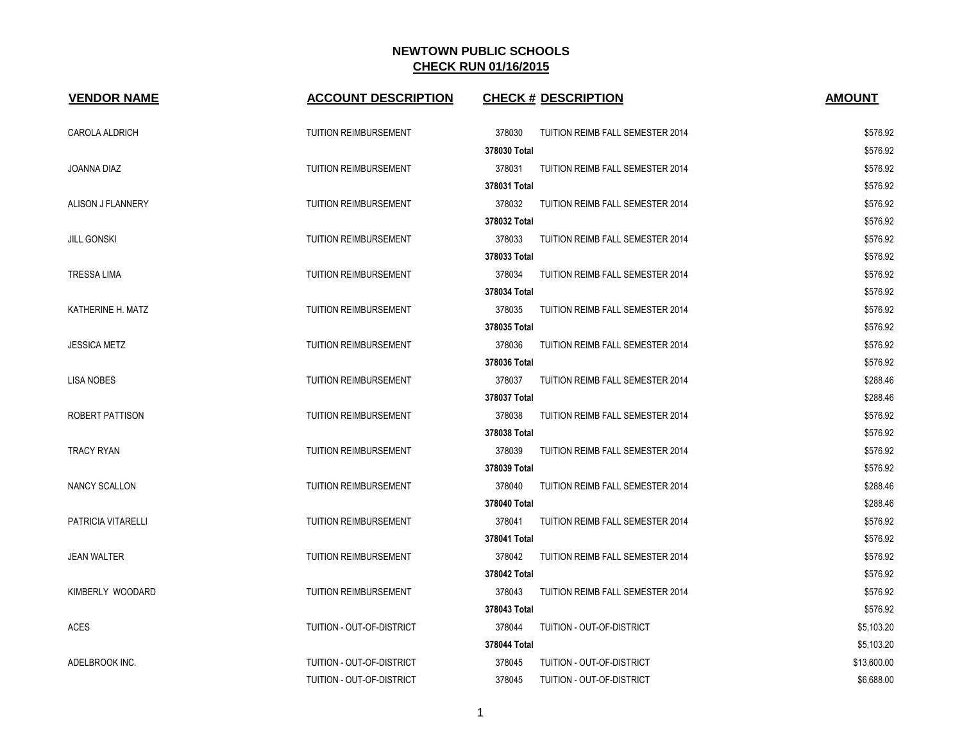| <b>VENDOR NAME</b>        | <b>ACCOUNT DESCRIPTION</b>   | <b>CHECK # DESCRIPTION</b>                 | <b>AMOUNT</b> |
|---------------------------|------------------------------|--------------------------------------------|---------------|
| CAROLA ALDRICH            | <b>TUITION REIMBURSEMENT</b> | 378030<br>TUITION REIMB FALL SEMESTER 2014 | \$576.92      |
|                           |                              | 378030 Total                               | \$576.92      |
| JOANNA DIAZ               | <b>TUITION REIMBURSEMENT</b> | 378031<br>TUITION REIMB FALL SEMESTER 2014 | \$576.92      |
|                           |                              | 378031 Total                               | \$576.92      |
| ALISON J FLANNERY         | <b>TUITION REIMBURSEMENT</b> | 378032<br>TUITION REIMB FALL SEMESTER 2014 | \$576.92      |
|                           |                              | 378032 Total                               | \$576.92      |
| <b>JILL GONSKI</b>        | TUITION REIMBURSEMENT        | 378033<br>TUITION REIMB FALL SEMESTER 2014 | \$576.92      |
|                           |                              | 378033 Total                               | \$576.92      |
| <b>TRESSA LIMA</b>        | <b>TUITION REIMBURSEMENT</b> | 378034<br>TUITION REIMB FALL SEMESTER 2014 | \$576.92      |
|                           |                              | 378034 Total                               | \$576.92      |
| KATHERINE H. MATZ         | <b>TUITION REIMBURSEMENT</b> | 378035<br>TUITION REIMB FALL SEMESTER 2014 | \$576.92      |
|                           |                              | 378035 Total                               | \$576.92      |
| <b>JESSICA METZ</b>       | <b>TUITION REIMBURSEMENT</b> | 378036<br>TUITION REIMB FALL SEMESTER 2014 | \$576.92      |
|                           |                              | 378036 Total                               | \$576.92      |
| <b>LISA NOBES</b>         | <b>TUITION REIMBURSEMENT</b> | 378037<br>TUITION REIMB FALL SEMESTER 2014 | \$288.46      |
|                           |                              | 378037 Total                               | \$288.46      |
| ROBERT PATTISON           | <b>TUITION REIMBURSEMENT</b> | 378038<br>TUITION REIMB FALL SEMESTER 2014 | \$576.92      |
|                           |                              | 378038 Total                               | \$576.92      |
| TRACY RYAN                | <b>TUITION REIMBURSEMENT</b> | 378039<br>TUITION REIMB FALL SEMESTER 2014 | \$576.92      |
|                           |                              | 378039 Total                               | \$576.92      |
| <b>NANCY SCALLON</b>      | <b>TUITION REIMBURSEMENT</b> | 378040<br>TUITION REIMB FALL SEMESTER 2014 | \$288.46      |
|                           |                              | 378040 Total                               | \$288.46      |
| <b>PATRICIA VITARELLI</b> | <b>TUITION REIMBURSEMENT</b> | 378041<br>TUITION REIMB FALL SEMESTER 2014 | \$576.92      |
|                           |                              | 378041 Total                               | \$576.92      |
| <b>JEAN WALTER</b>        | <b>TUITION REIMBURSEMENT</b> | 378042<br>TUITION REIMB FALL SEMESTER 2014 | \$576.92      |
|                           |                              | 378042 Total                               | \$576.92      |
| KIMBERLY WOODARD          | <b>TUITION REIMBURSEMENT</b> | 378043<br>TUITION REIMB FALL SEMESTER 2014 | \$576.92      |
|                           |                              | 378043 Total                               | \$576.92      |
| <b>ACES</b>               | TUITION - OUT-OF-DISTRICT    | 378044<br>TUITION - OUT-OF-DISTRICT        | \$5,103.20    |
|                           |                              | 378044 Total                               | \$5,103.20    |
| ADELBROOK INC.            | TUITION - OUT-OF-DISTRICT    | 378045<br>TUITION - OUT-OF-DISTRICT        | \$13,600.00   |
|                           | TUITION - OUT-OF-DISTRICT    | 378045<br>TUITION - OUT-OF-DISTRICT        | \$6,688.00    |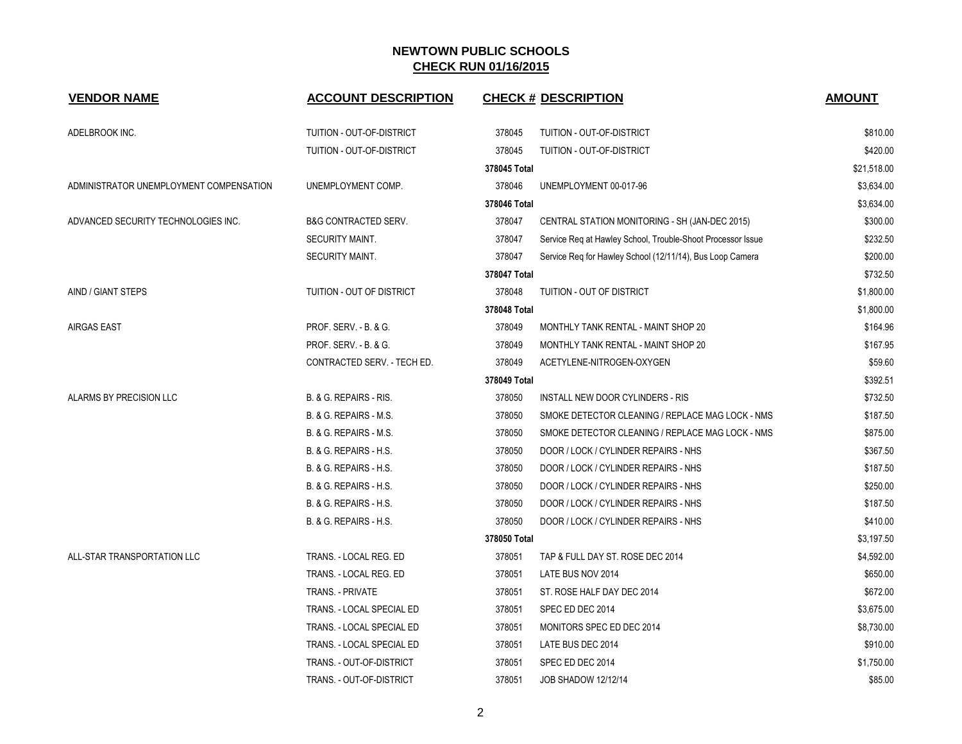| <b>VENDOR NAME</b>                      | <b>ACCOUNT DESCRIPTION</b>      |              | <b>CHECK # DESCRIPTION</b>                                  | <b>AMOUNT</b> |
|-----------------------------------------|---------------------------------|--------------|-------------------------------------------------------------|---------------|
| ADELBROOK INC.                          | TUITION - OUT-OF-DISTRICT       | 378045       | TUITION - OUT-OF-DISTRICT                                   | \$810.00      |
|                                         | TUITION - OUT-OF-DISTRICT       | 378045       | TUITION - OUT-OF-DISTRICT                                   | \$420.00      |
|                                         |                                 | 378045 Total |                                                             | \$21,518.00   |
| ADMINISTRATOR UNEMPLOYMENT COMPENSATION | UNEMPLOYMENT COMP.              | 378046       | UNEMPLOYMENT 00-017-96                                      | \$3,634.00    |
|                                         |                                 | 378046 Total |                                                             | \$3,634.00    |
| ADVANCED SECURITY TECHNOLOGIES INC.     | <b>B&amp;G CONTRACTED SERV.</b> | 378047       | CENTRAL STATION MONITORING - SH (JAN-DEC 2015)              | \$300.00      |
|                                         | <b>SECURITY MAINT.</b>          | 378047       | Service Req at Hawley School, Trouble-Shoot Processor Issue | \$232.50      |
|                                         | SECURITY MAINT.                 | 378047       | Service Req for Hawley School (12/11/14), Bus Loop Camera   | \$200.00      |
|                                         |                                 | 378047 Total |                                                             | \$732.50      |
| AIND / GIANT STEPS                      | TUITION - OUT OF DISTRICT       | 378048       | TUITION - OUT OF DISTRICT                                   | \$1,800.00    |
|                                         |                                 | 378048 Total |                                                             | \$1,800.00    |
| <b>AIRGAS EAST</b>                      | PROF. SERV. - B. & G.           | 378049       | MONTHLY TANK RENTAL - MAINT SHOP 20                         | \$164.96      |
|                                         | PROF. SERV. - B. & G.           | 378049       | MONTHLY TANK RENTAL - MAINT SHOP 20                         | \$167.95      |
|                                         | CONTRACTED SERV. - TECH ED.     | 378049       | ACETYLENE-NITROGEN-OXYGEN                                   | \$59.60       |
|                                         |                                 | 378049 Total |                                                             | \$392.51      |
| ALARMS BY PRECISION LLC                 | B. & G. REPAIRS - RIS.          | 378050       | INSTALL NEW DOOR CYLINDERS - RIS                            | \$732.50      |
|                                         | B. & G. REPAIRS - M.S.          | 378050       | SMOKE DETECTOR CLEANING / REPLACE MAG LOCK - NMS            | \$187.50      |
|                                         | B. & G. REPAIRS - M.S.          | 378050       | SMOKE DETECTOR CLEANING / REPLACE MAG LOCK - NMS            | \$875.00      |
|                                         | B. & G. REPAIRS - H.S.          | 378050       | DOOR / LOCK / CYLINDER REPAIRS - NHS                        | \$367.50      |
|                                         | B. & G. REPAIRS - H.S.          | 378050       | DOOR / LOCK / CYLINDER REPAIRS - NHS                        | \$187.50      |
|                                         | B. & G. REPAIRS - H.S.          | 378050       | DOOR / LOCK / CYLINDER REPAIRS - NHS                        | \$250.00      |
|                                         | B. & G. REPAIRS - H.S.          | 378050       | DOOR / LOCK / CYLINDER REPAIRS - NHS                        | \$187.50      |
|                                         | B. & G. REPAIRS - H.S.          | 378050       | DOOR / LOCK / CYLINDER REPAIRS - NHS                        | \$410.00      |
|                                         |                                 | 378050 Total |                                                             | \$3,197.50    |
| ALL-STAR TRANSPORTATION LLC             | TRANS. - LOCAL REG. ED          | 378051       | TAP & FULL DAY ST. ROSE DEC 2014                            | \$4,592.00    |
|                                         | TRANS. - LOCAL REG. ED          | 378051       | LATE BUS NOV 2014                                           | \$650.00      |
|                                         | <b>TRANS. - PRIVATE</b>         | 378051       | ST. ROSE HALF DAY DEC 2014                                  | \$672.00      |
|                                         | TRANS. - LOCAL SPECIAL ED       | 378051       | SPEC ED DEC 2014                                            | \$3,675.00    |
|                                         | TRANS. - LOCAL SPECIAL ED       | 378051       | MONITORS SPEC ED DEC 2014                                   | \$8,730.00    |
|                                         | TRANS. - LOCAL SPECIAL ED       | 378051       | LATE BUS DEC 2014                                           | \$910.00      |
|                                         | TRANS. - OUT-OF-DISTRICT        | 378051       | SPEC ED DEC 2014                                            | \$1,750.00    |
|                                         | TRANS. - OUT-OF-DISTRICT        | 378051       | <b>JOB SHADOW 12/12/14</b>                                  | \$85.00       |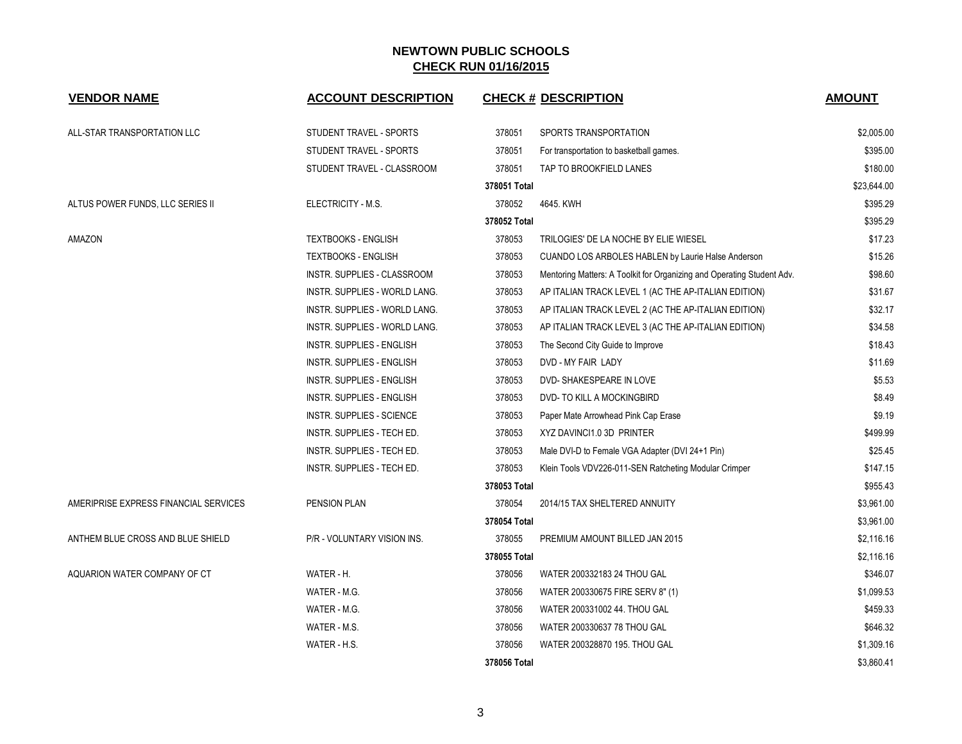| <b>VENDOR NAME</b>                    | <b>ACCOUNT DESCRIPTION</b>       |              | <b>CHECK # DESCRIPTION</b>                                             | <b>AMOUNT</b> |
|---------------------------------------|----------------------------------|--------------|------------------------------------------------------------------------|---------------|
| ALL-STAR TRANSPORTATION LLC           | STUDENT TRAVEL - SPORTS          | 378051       | SPORTS TRANSPORTATION                                                  | \$2,005.00    |
|                                       | STUDENT TRAVEL - SPORTS          | 378051       | For transportation to basketball games.                                | \$395.00      |
|                                       | STUDENT TRAVEL - CLASSROOM       | 378051       | TAP TO BROOKFIELD LANES                                                | \$180.00      |
|                                       |                                  | 378051 Total |                                                                        | \$23,644.00   |
| ALTUS POWER FUNDS, LLC SERIES II      | ELECTRICITY - M.S.               | 378052       | 4645. KWH                                                              | \$395.29      |
|                                       |                                  | 378052 Total |                                                                        | \$395.29      |
| AMAZON                                | <b>TEXTBOOKS - ENGLISH</b>       | 378053       | TRILOGIES' DE LA NOCHE BY ELIE WIESEL                                  | \$17.23       |
|                                       | <b>TEXTBOOKS - ENGLISH</b>       | 378053       | CUANDO LOS ARBOLES HABLEN by Laurie Halse Anderson                     | \$15.26       |
|                                       | INSTR. SUPPLIES - CLASSROOM      | 378053       | Mentoring Matters: A Toolkit for Organizing and Operating Student Adv. | \$98.60       |
|                                       | INSTR. SUPPLIES - WORLD LANG.    | 378053       | AP ITALIAN TRACK LEVEL 1 (AC THE AP-ITALIAN EDITION)                   | \$31.67       |
|                                       | INSTR. SUPPLIES - WORLD LANG.    | 378053       | AP ITALIAN TRACK LEVEL 2 (AC THE AP-ITALIAN EDITION)                   | \$32.17       |
|                                       | INSTR. SUPPLIES - WORLD LANG.    | 378053       | AP ITALIAN TRACK LEVEL 3 (AC THE AP-ITALIAN EDITION)                   | \$34.58       |
|                                       | <b>INSTR. SUPPLIES - ENGLISH</b> | 378053       | The Second City Guide to Improve                                       | \$18.43       |
|                                       | <b>INSTR. SUPPLIES - ENGLISH</b> | 378053       | DVD - MY FAIR LADY                                                     | \$11.69       |
|                                       | <b>INSTR. SUPPLIES - ENGLISH</b> | 378053       | DVD- SHAKESPEARE IN LOVE                                               | \$5.53        |
|                                       | <b>INSTR. SUPPLIES - ENGLISH</b> | 378053       | DVD-TO KILL A MOCKINGBIRD                                              | \$8.49        |
|                                       | INSTR. SUPPLIES - SCIENCE        | 378053       | Paper Mate Arrowhead Pink Cap Erase                                    | \$9.19        |
|                                       | INSTR. SUPPLIES - TECH ED.       | 378053       | XYZ DAVINCI1.0 3D PRINTER                                              | \$499.99      |
|                                       | INSTR. SUPPLIES - TECH ED.       | 378053       | Male DVI-D to Female VGA Adapter (DVI 24+1 Pin)                        | \$25.45       |
|                                       | INSTR. SUPPLIES - TECH ED.       | 378053       | Klein Tools VDV226-011-SEN Ratcheting Modular Crimper                  | \$147.15      |
|                                       |                                  | 378053 Total |                                                                        | \$955.43      |
| AMERIPRISE EXPRESS FINANCIAL SERVICES | PENSION PLAN                     | 378054       | 2014/15 TAX SHELTERED ANNUITY                                          | \$3,961.00    |
|                                       |                                  | 378054 Total |                                                                        | \$3,961.00    |
| ANTHEM BLUE CROSS AND BLUE SHIELD     | P/R - VOLUNTARY VISION INS.      | 378055       | PREMIUM AMOUNT BILLED JAN 2015                                         | \$2,116.16    |
|                                       |                                  | 378055 Total |                                                                        | \$2,116.16    |
| AQUARION WATER COMPANY OF CT          | WATER - H.                       | 378056       | WATER 200332183 24 THOU GAL                                            | \$346.07      |
|                                       | WATER - M.G.                     | 378056       | WATER 200330675 FIRE SERV 8" (1)                                       | \$1,099.53    |
|                                       | WATER - M.G.                     | 378056       | WATER 200331002 44. THOU GAL                                           | \$459.33      |
|                                       | WATER - M.S.                     | 378056       | WATER 200330637 78 THOU GAL                                            | \$646.32      |
|                                       | WATER - H.S.                     | 378056       | WATER 200328870 195. THOU GAL                                          | \$1,309.16    |
|                                       |                                  | 378056 Total |                                                                        | \$3,860.41    |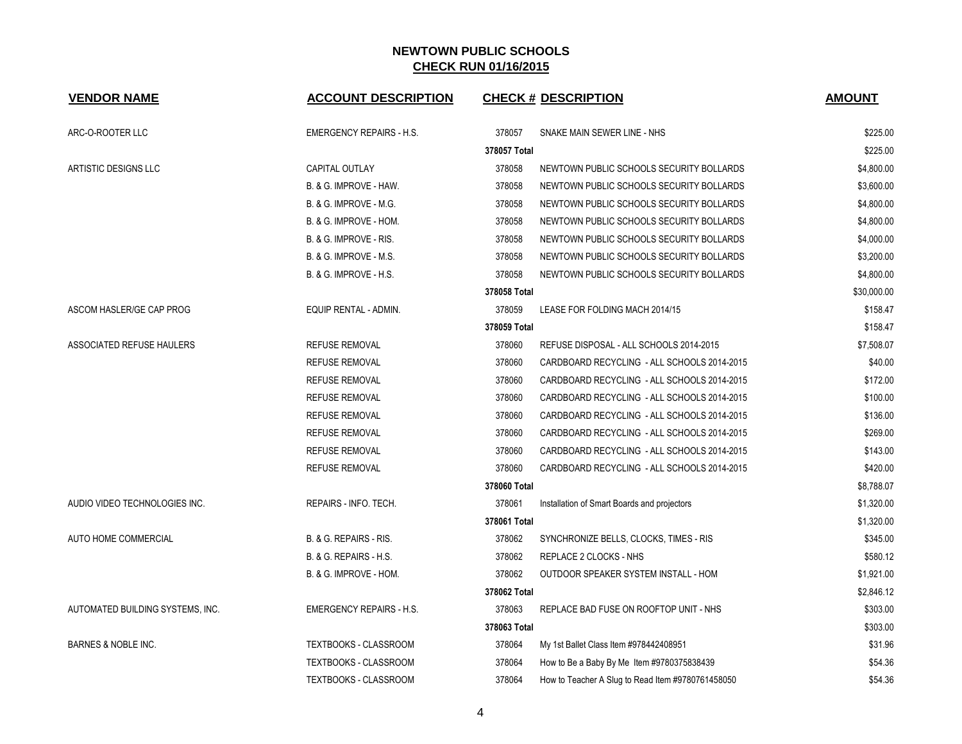| <b>VENDOR NAME</b>               | <b>ACCOUNT DESCRIPTION</b>      |              | <b>CHECK # DESCRIPTION</b>                        | <b>AMOUNT</b> |
|----------------------------------|---------------------------------|--------------|---------------------------------------------------|---------------|
| ARC-O-ROOTER LLC                 | <b>EMERGENCY REPAIRS - H.S.</b> | 378057       | SNAKE MAIN SEWER LINE - NHS                       | \$225.00      |
|                                  |                                 | 378057 Total |                                                   | \$225.00      |
| ARTISTIC DESIGNS LLC             | <b>CAPITAL OUTLAY</b>           | 378058       | NEWTOWN PUBLIC SCHOOLS SECURITY BOLLARDS          | \$4,800.00    |
|                                  | B. & G. IMPROVE - HAW.          | 378058       | NEWTOWN PUBLIC SCHOOLS SECURITY BOLLARDS          | \$3,600.00    |
|                                  | B. & G. IMPROVE - M.G.          | 378058       | NEWTOWN PUBLIC SCHOOLS SECURITY BOLLARDS          | \$4,800.00    |
|                                  | B. & G. IMPROVE - HOM.          | 378058       | NEWTOWN PUBLIC SCHOOLS SECURITY BOLLARDS          | \$4,800.00    |
|                                  | B. & G. IMPROVE - RIS.          | 378058       | NEWTOWN PUBLIC SCHOOLS SECURITY BOLLARDS          | \$4,000.00    |
|                                  | B. & G. IMPROVE - M.S.          | 378058       | NEWTOWN PUBLIC SCHOOLS SECURITY BOLLARDS          | \$3,200.00    |
|                                  | B. & G. IMPROVE - H.S.          | 378058       | NEWTOWN PUBLIC SCHOOLS SECURITY BOLLARDS          | \$4,800.00    |
|                                  |                                 | 378058 Total |                                                   | \$30,000.00   |
| ASCOM HASLER/GE CAP PROG         | EQUIP RENTAL - ADMIN.           | 378059       | LEASE FOR FOLDING MACH 2014/15                    | \$158.47      |
|                                  |                                 | 378059 Total |                                                   | \$158.47      |
| ASSOCIATED REFUSE HAULERS        | <b>REFUSE REMOVAL</b>           | 378060       | REFUSE DISPOSAL - ALL SCHOOLS 2014-2015           | \$7,508.07    |
|                                  | <b>REFUSE REMOVAL</b>           | 378060       | CARDBOARD RECYCLING - ALL SCHOOLS 2014-2015       | \$40.00       |
|                                  | <b>REFUSE REMOVAL</b>           | 378060       | CARDBOARD RECYCLING - ALL SCHOOLS 2014-2015       | \$172.00      |
|                                  | <b>REFUSE REMOVAL</b>           | 378060       | CARDBOARD RECYCLING - ALL SCHOOLS 2014-2015       | \$100.00      |
|                                  | <b>REFUSE REMOVAL</b>           | 378060       | CARDBOARD RECYCLING - ALL SCHOOLS 2014-2015       | \$136.00      |
|                                  | <b>REFUSE REMOVAL</b>           | 378060       | CARDBOARD RECYCLING - ALL SCHOOLS 2014-2015       | \$269.00      |
|                                  | <b>REFUSE REMOVAL</b>           | 378060       | CARDBOARD RECYCLING - ALL SCHOOLS 2014-2015       | \$143.00      |
|                                  | <b>REFUSE REMOVAL</b>           | 378060       | CARDBOARD RECYCLING - ALL SCHOOLS 2014-2015       | \$420.00      |
|                                  |                                 | 378060 Total |                                                   | \$8,788.07    |
| AUDIO VIDEO TECHNOLOGIES INC.    | REPAIRS - INFO. TECH.           | 378061       | Installation of Smart Boards and projectors       | \$1,320.00    |
|                                  |                                 | 378061 Total |                                                   | \$1,320.00    |
| AUTO HOME COMMERCIAL             | B. & G. REPAIRS - RIS.          | 378062       | SYNCHRONIZE BELLS, CLOCKS, TIMES - RIS            | \$345.00      |
|                                  | B. & G. REPAIRS - H.S.          | 378062       | REPLACE 2 CLOCKS - NHS                            | \$580.12      |
|                                  | B. & G. IMPROVE - HOM.          | 378062       | OUTDOOR SPEAKER SYSTEM INSTALL - HOM              | \$1,921.00    |
|                                  |                                 | 378062 Total |                                                   | \$2,846.12    |
| AUTOMATED BUILDING SYSTEMS, INC. | <b>EMERGENCY REPAIRS - H.S.</b> | 378063       | REPLACE BAD FUSE ON ROOFTOP UNIT - NHS            | \$303.00      |
|                                  |                                 | 378063 Total |                                                   | \$303.00      |
| BARNES & NOBLE INC.              | <b>TEXTBOOKS - CLASSROOM</b>    | 378064       | My 1st Ballet Class Item #978442408951            | \$31.96       |
|                                  | TEXTBOOKS - CLASSROOM           | 378064       | How to Be a Baby By Me Item #9780375838439        | \$54.36       |
|                                  | TEXTBOOKS - CLASSROOM           | 378064       | How to Teacher A Slug to Read Item #9780761458050 | \$54.36       |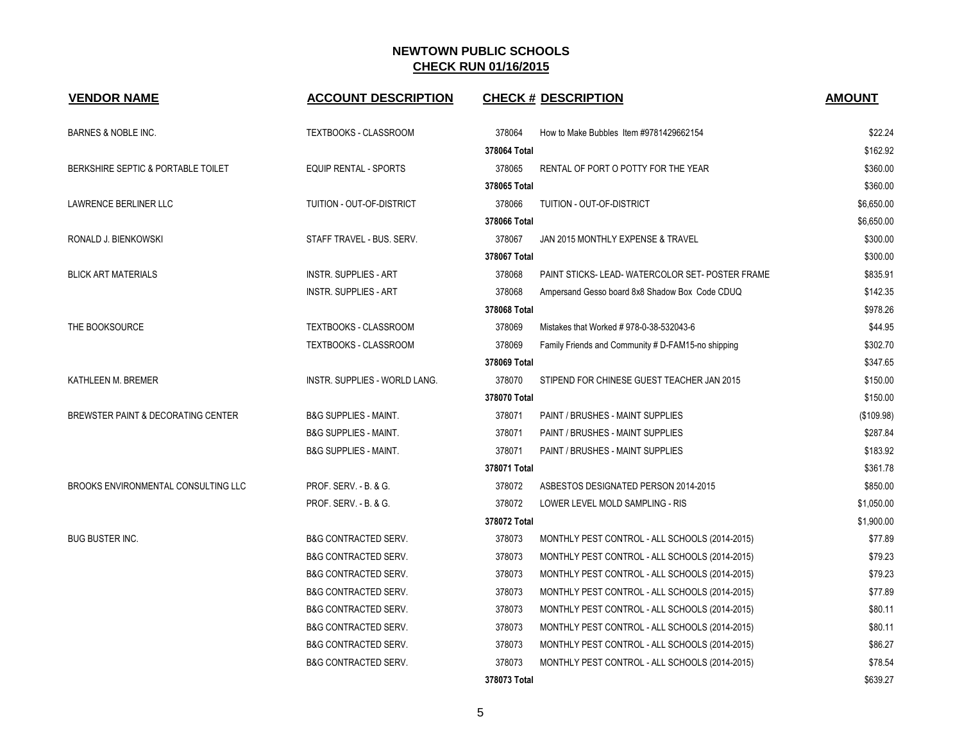| <b>VENDOR NAME</b>                  | <b>ACCOUNT DESCRIPTION</b>           |              | <b>CHECK # DESCRIPTION</b>                         | <b>AMOUNT</b> |
|-------------------------------------|--------------------------------------|--------------|----------------------------------------------------|---------------|
| <b>BARNES &amp; NOBLE INC.</b>      | TEXTBOOKS - CLASSROOM                | 378064       | How to Make Bubbles Item #9781429662154            | \$22.24       |
|                                     |                                      | 378064 Total |                                                    | \$162.92      |
| BERKSHIRE SEPTIC & PORTABLE TOILET  | EQUIP RENTAL - SPORTS                | 378065       | RENTAL OF PORT O POTTY FOR THE YEAR                | \$360.00      |
|                                     |                                      | 378065 Total |                                                    | \$360.00      |
| LAWRENCE BERLINER LLC               | TUITION - OUT-OF-DISTRICT            | 378066       | TUITION - OUT-OF-DISTRICT                          | \$6,650.00    |
|                                     |                                      | 378066 Total |                                                    | \$6,650.00    |
| RONALD J. BIENKOWSKI                | STAFF TRAVEL - BUS. SERV.            | 378067       | JAN 2015 MONTHLY EXPENSE & TRAVEL                  | \$300.00      |
|                                     |                                      | 378067 Total |                                                    | \$300.00      |
| <b>BLICK ART MATERIALS</b>          | <b>INSTR. SUPPLIES - ART</b>         | 378068       | PAINT STICKS-LEAD-WATERCOLOR SET-POSTER FRAME      | \$835.91      |
|                                     | <b>INSTR. SUPPLIES - ART</b>         | 378068       | Ampersand Gesso board 8x8 Shadow Box Code CDUQ     | \$142.35      |
|                                     |                                      | 378068 Total |                                                    | \$978.26      |
| THE BOOKSOURCE                      | TEXTBOOKS - CLASSROOM                | 378069       | Mistakes that Worked #978-0-38-532043-6            | \$44.95       |
|                                     | <b>TEXTBOOKS - CLASSROOM</b>         | 378069       | Family Friends and Community # D-FAM15-no shipping | \$302.70      |
|                                     |                                      | 378069 Total |                                                    | \$347.65      |
| KATHLEEN M. BREMER                  | <b>INSTR. SUPPLIES - WORLD LANG.</b> | 378070       | STIPEND FOR CHINESE GUEST TEACHER JAN 2015         | \$150.00      |
|                                     |                                      | 378070 Total |                                                    | \$150.00      |
| BREWSTER PAINT & DECORATING CENTER  | <b>B&amp;G SUPPLIES - MAINT.</b>     | 378071       | PAINT / BRUSHES - MAINT SUPPLIES                   | (\$109.98)    |
|                                     | <b>B&amp;G SUPPLIES - MAINT.</b>     | 378071       | PAINT / BRUSHES - MAINT SUPPLIES                   | \$287.84      |
|                                     | <b>B&amp;G SUPPLIES - MAINT.</b>     | 378071       | PAINT / BRUSHES - MAINT SUPPLIES                   | \$183.92      |
|                                     |                                      | 378071 Total |                                                    | \$361.78      |
| BROOKS ENVIRONMENTAL CONSULTING LLC | PROF. SERV. - B. & G.                | 378072       | ASBESTOS DESIGNATED PERSON 2014-2015               | \$850.00      |
|                                     | PROF. SERV. - B. & G.                | 378072       | LOWER LEVEL MOLD SAMPLING - RIS                    | \$1,050.00    |
|                                     |                                      | 378072 Total |                                                    | \$1,900.00    |
| <b>BUG BUSTER INC.</b>              | <b>B&amp;G CONTRACTED SERV.</b>      | 378073       | MONTHLY PEST CONTROL - ALL SCHOOLS (2014-2015)     | \$77.89       |
|                                     | <b>B&amp;G CONTRACTED SERV.</b>      | 378073       | MONTHLY PEST CONTROL - ALL SCHOOLS (2014-2015)     | \$79.23       |
|                                     | <b>B&amp;G CONTRACTED SERV.</b>      | 378073       | MONTHLY PEST CONTROL - ALL SCHOOLS (2014-2015)     | \$79.23       |
|                                     | <b>B&amp;G CONTRACTED SERV.</b>      | 378073       | MONTHLY PEST CONTROL - ALL SCHOOLS (2014-2015)     | \$77.89       |
|                                     | <b>B&amp;G CONTRACTED SERV.</b>      | 378073       | MONTHLY PEST CONTROL - ALL SCHOOLS (2014-2015)     | \$80.11       |
|                                     | <b>B&amp;G CONTRACTED SERV.</b>      | 378073       | MONTHLY PEST CONTROL - ALL SCHOOLS (2014-2015)     | \$80.11       |
|                                     | <b>B&amp;G CONTRACTED SERV.</b>      | 378073       | MONTHLY PEST CONTROL - ALL SCHOOLS (2014-2015)     | \$86.27       |
|                                     | <b>B&amp;G CONTRACTED SERV.</b>      | 378073       | MONTHLY PEST CONTROL - ALL SCHOOLS (2014-2015)     | \$78.54       |
|                                     |                                      | 378073 Total |                                                    | \$639.27      |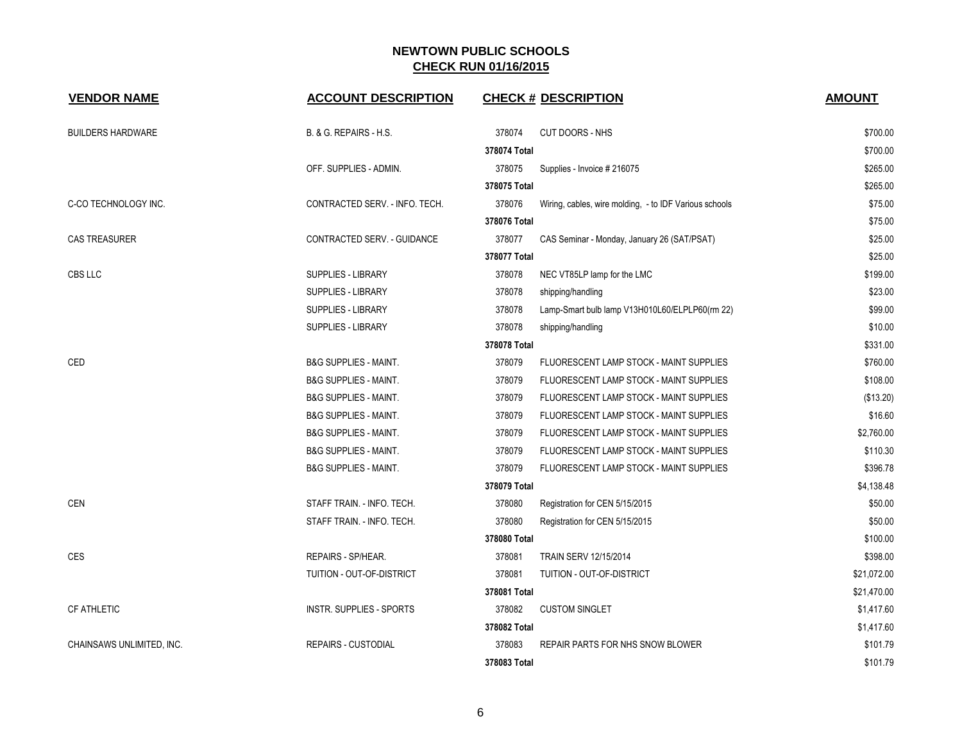| <b>VENDOR NAME</b>        | <b>ACCOUNT DESCRIPTION</b>       | <b>CHECK # DESCRIPTION</b>                                       | <b>AMOUNT</b> |
|---------------------------|----------------------------------|------------------------------------------------------------------|---------------|
| <b>BUILDERS HARDWARE</b>  | B. & G. REPAIRS - H.S.           | 378074<br><b>CUT DOORS - NHS</b>                                 | \$700.00      |
|                           |                                  | 378074 Total                                                     | \$700.00      |
|                           | OFF. SUPPLIES - ADMIN.           | 378075<br>Supplies - Invoice # 216075                            | \$265.00      |
|                           |                                  | 378075 Total                                                     | \$265.00      |
| C-CO TECHNOLOGY INC.      | CONTRACTED SERV. - INFO. TECH.   | 378076<br>Wiring, cables, wire molding, - to IDF Various schools | \$75.00       |
|                           |                                  | 378076 Total                                                     | \$75.00       |
| <b>CAS TREASURER</b>      | CONTRACTED SERV. - GUIDANCE      | 378077<br>CAS Seminar - Monday, January 26 (SAT/PSAT)            | \$25.00       |
|                           |                                  | 378077 Total                                                     | \$25.00       |
| CBS LLC                   | <b>SUPPLIES - LIBRARY</b>        | 378078<br>NEC VT85LP lamp for the LMC                            | \$199.00      |
|                           | <b>SUPPLIES - LIBRARY</b>        | 378078<br>shipping/handling                                      | \$23.00       |
|                           | SUPPLIES - LIBRARY               | 378078<br>Lamp-Smart bulb lamp V13H010L60/ELPLP60(rm 22)         | \$99.00       |
|                           | SUPPLIES - LIBRARY               | 378078<br>shipping/handling                                      | \$10.00       |
|                           |                                  | 378078 Total                                                     | \$331.00      |
| CED                       | <b>B&amp;G SUPPLIES - MAINT.</b> | 378079<br>FLUORESCENT LAMP STOCK - MAINT SUPPLIES                | \$760.00      |
|                           | <b>B&amp;G SUPPLIES - MAINT.</b> | 378079<br>FLUORESCENT LAMP STOCK - MAINT SUPPLIES                | \$108.00      |
|                           | <b>B&amp;G SUPPLIES - MAINT.</b> | 378079<br>FLUORESCENT LAMP STOCK - MAINT SUPPLIES                | (\$13.20)     |
|                           | <b>B&amp;G SUPPLIES - MAINT.</b> | 378079<br>FLUORESCENT LAMP STOCK - MAINT SUPPLIES                | \$16.60       |
|                           | <b>B&amp;G SUPPLIES - MAINT.</b> | 378079<br>FLUORESCENT LAMP STOCK - MAINT SUPPLIES                | \$2,760.00    |
|                           | <b>B&amp;G SUPPLIES - MAINT.</b> | 378079<br>FLUORESCENT LAMP STOCK - MAINT SUPPLIES                | \$110.30      |
|                           | <b>B&amp;G SUPPLIES - MAINT.</b> | 378079<br>FLUORESCENT LAMP STOCK - MAINT SUPPLIES                | \$396.78      |
|                           |                                  | 378079 Total                                                     | \$4,138.48    |
| CEN                       | STAFF TRAIN. - INFO. TECH.       | 378080<br>Registration for CEN 5/15/2015                         | \$50.00       |
|                           | STAFF TRAIN. - INFO. TECH.       | 378080<br>Registration for CEN 5/15/2015                         | \$50.00       |
|                           |                                  | 378080 Total                                                     | \$100.00      |
| <b>CES</b>                | REPAIRS - SP/HEAR.               | 378081<br>TRAIN SERV 12/15/2014                                  | \$398.00      |
|                           | TUITION - OUT-OF-DISTRICT        | 378081<br>TUITION - OUT-OF-DISTRICT                              | \$21,072.00   |
|                           |                                  | 378081 Total                                                     | \$21,470.00   |
| <b>CF ATHLETIC</b>        | <b>INSTR. SUPPLIES - SPORTS</b>  | 378082<br><b>CUSTOM SINGLET</b>                                  | \$1,417.60    |
|                           |                                  | 378082 Total                                                     | \$1,417.60    |
| CHAINSAWS UNLIMITED, INC. | <b>REPAIRS - CUSTODIAL</b>       | 378083<br>REPAIR PARTS FOR NHS SNOW BLOWER                       | \$101.79      |
|                           |                                  | 378083 Total                                                     | \$101.79      |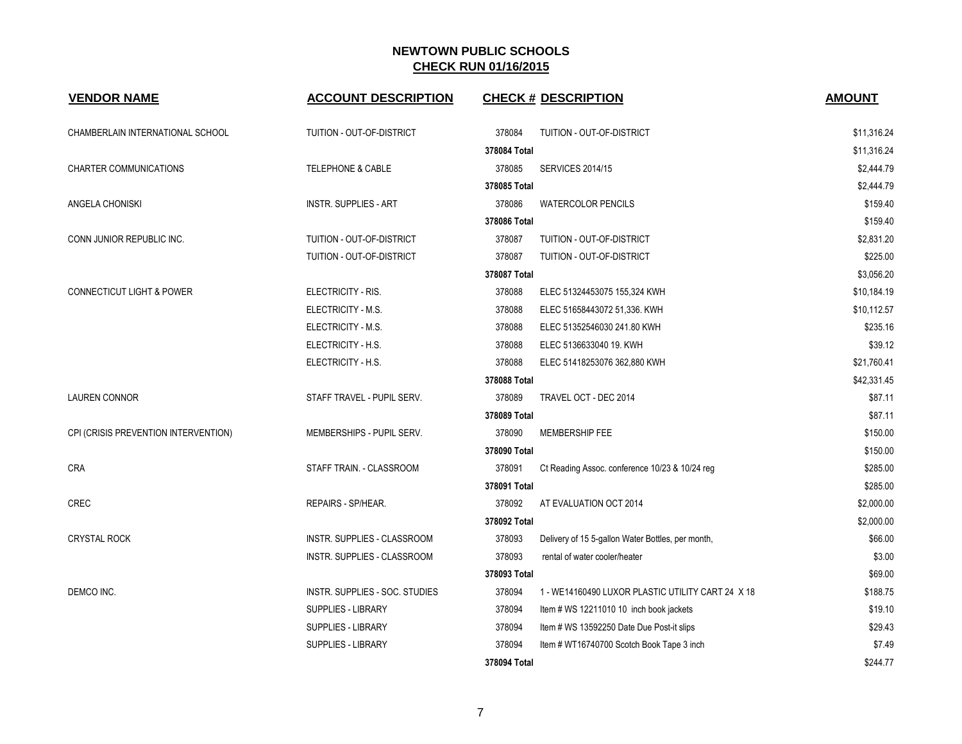| <b>VENDOR NAME</b>                   | <b>ACCOUNT DESCRIPTION</b>         | <b>CHECK # DESCRIPTION</b>                                  | <b>AMOUNT</b> |
|--------------------------------------|------------------------------------|-------------------------------------------------------------|---------------|
| CHAMBERLAIN INTERNATIONAL SCHOOL     | TUITION - OUT-OF-DISTRICT          | 378084<br>TUITION - OUT-OF-DISTRICT                         | \$11,316.24   |
|                                      |                                    | 378084 Total                                                | \$11,316.24   |
| <b>CHARTER COMMUNICATIONS</b>        | <b>TELEPHONE &amp; CABLE</b>       | 378085<br><b>SERVICES 2014/15</b>                           | \$2,444.79    |
|                                      |                                    | 378085 Total                                                | \$2,444.79    |
| ANGELA CHONISKI                      | <b>INSTR. SUPPLIES - ART</b>       | 378086<br><b>WATERCOLOR PENCILS</b>                         | \$159.40      |
|                                      |                                    | 378086 Total                                                | \$159.40      |
| CONN JUNIOR REPUBLIC INC.            | TUITION - OUT-OF-DISTRICT          | 378087<br>TUITION - OUT-OF-DISTRICT                         | \$2,831.20    |
|                                      | TUITION - OUT-OF-DISTRICT          | 378087<br>TUITION - OUT-OF-DISTRICT                         | \$225.00      |
|                                      |                                    | 378087 Total                                                | \$3,056.20    |
| <b>CONNECTICUT LIGHT &amp; POWER</b> | ELECTRICITY - RIS.                 | 378088<br>ELEC 51324453075 155,324 KWH                      | \$10,184.19   |
|                                      | ELECTRICITY - M.S.                 | 378088<br>ELEC 51658443072 51,336. KWH                      | \$10,112.57   |
|                                      | ELECTRICITY - M.S.                 | 378088<br>ELEC 51352546030 241.80 KWH                       | \$235.16      |
|                                      | ELECTRICITY - H.S.                 | 378088<br>ELEC 5136633040 19. KWH                           | \$39.12       |
|                                      | ELECTRICITY - H.S.                 | 378088<br>ELEC 51418253076 362,880 KWH                      | \$21,760.41   |
|                                      |                                    | 378088 Total                                                | \$42,331.45   |
| <b>LAUREN CONNOR</b>                 | STAFF TRAVEL - PUPIL SERV.         | 378089<br>TRAVEL OCT - DEC 2014                             | \$87.11       |
|                                      |                                    | 378089 Total                                                | \$87.11       |
| CPI (CRISIS PREVENTION INTERVENTION) | MEMBERSHIPS - PUPIL SERV.          | 378090<br>MEMBERSHIP FEE                                    | \$150.00      |
|                                      |                                    | 378090 Total                                                | \$150.00      |
| CRA                                  | STAFF TRAIN. - CLASSROOM           | 378091<br>Ct Reading Assoc. conference 10/23 & 10/24 reg    | \$285.00      |
|                                      |                                    | 378091 Total                                                | \$285.00      |
| CREC                                 | REPAIRS - SP/HEAR.                 | 378092<br>AT EVALUATION OCT 2014                            | \$2,000.00    |
|                                      |                                    | 378092 Total                                                | \$2,000.00    |
| <b>CRYSTAL ROCK</b>                  | INSTR. SUPPLIES - CLASSROOM        | 378093<br>Delivery of 15 5-gallon Water Bottles, per month, | \$66.00       |
|                                      | <b>INSTR. SUPPLIES - CLASSROOM</b> | 378093<br>rental of water cooler/heater                     | \$3.00        |
|                                      |                                    | 378093 Total                                                | \$69.00       |
| DEMCO INC.                           | INSTR. SUPPLIES - SOC. STUDIES     | 378094<br>1 - WE14160490 LUXOR PLASTIC UTILITY CART 24 X 18 | \$188.75      |
|                                      | SUPPLIES - LIBRARY                 | 378094<br>Item # WS 12211010 10 inch book jackets           | \$19.10       |
|                                      | SUPPLIES - LIBRARY                 | 378094<br>Item # WS 13592250 Date Due Post-it slips         | \$29.43       |
|                                      | SUPPLIES - LIBRARY                 | 378094<br>Item # WT16740700 Scotch Book Tape 3 inch         | \$7.49        |
|                                      |                                    | 378094 Total                                                | \$244.77      |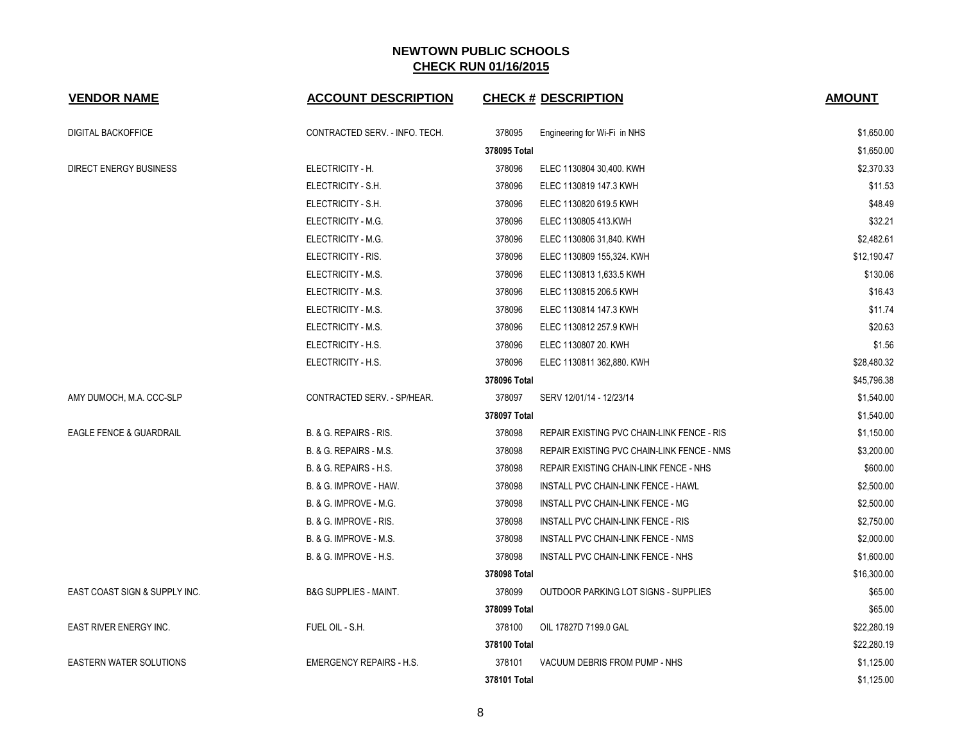| <b>VENDOR NAME</b>                 | <b>ACCOUNT DESCRIPTION</b>       | <b>CHECK # DESCRIPTION</b>                           | <b>AMOUNT</b> |
|------------------------------------|----------------------------------|------------------------------------------------------|---------------|
| <b>DIGITAL BACKOFFICE</b>          | CONTRACTED SERV. - INFO. TECH.   | 378095<br>Engineering for Wi-Fi in NHS               | \$1,650.00    |
|                                    |                                  | 378095 Total                                         | \$1,650.00    |
| DIRECT ENERGY BUSINESS             | ELECTRICITY - H.                 | 378096<br>ELEC 1130804 30,400. KWH                   | \$2,370.33    |
|                                    | ELECTRICITY - S.H.               | 378096<br>ELEC 1130819 147.3 KWH                     | \$11.53       |
|                                    | ELECTRICITY - S.H.               | 378096<br>ELEC 1130820 619.5 KWH                     | \$48.49       |
|                                    | ELECTRICITY - M.G.               | 378096<br>ELEC 1130805 413 KWH                       | \$32.21       |
|                                    | ELECTRICITY - M.G.               | 378096<br>ELEC 1130806 31,840. KWH                   | \$2,482.61    |
|                                    | ELECTRICITY - RIS.               | 378096<br>ELEC 1130809 155,324. KWH                  | \$12,190.47   |
|                                    | ELECTRICITY - M.S.               | 378096<br>ELEC 1130813 1,633.5 KWH                   | \$130.06      |
|                                    | ELECTRICITY - M.S.               | 378096<br>ELEC 1130815 206.5 KWH                     | \$16.43       |
|                                    | ELECTRICITY - M.S.               | 378096<br>ELEC 1130814 147.3 KWH                     | \$11.74       |
|                                    | ELECTRICITY - M.S.               | 378096<br>ELEC 1130812 257.9 KWH                     | \$20.63       |
|                                    | ELECTRICITY - H.S.               | 378096<br>ELEC 1130807 20. KWH                       | \$1.56        |
|                                    | ELECTRICITY - H.S.               | 378096<br>ELEC 1130811 362,880. KWH                  | \$28,480.32   |
|                                    |                                  | 378096 Total                                         | \$45,796.38   |
| AMY DUMOCH, M.A. CCC-SLP           | CONTRACTED SERV. - SP/HEAR.      | 378097<br>SERV 12/01/14 - 12/23/14                   | \$1,540.00    |
|                                    |                                  | 378097 Total                                         | \$1,540.00    |
| <b>EAGLE FENCE &amp; GUARDRAIL</b> | B. & G. REPAIRS - RIS.           | 378098<br>REPAIR EXISTING PVC CHAIN-LINK FENCE - RIS | \$1,150.00    |
|                                    | B. & G. REPAIRS - M.S.           | 378098<br>REPAIR EXISTING PVC CHAIN-LINK FENCE - NMS | \$3,200.00    |
|                                    | B. & G. REPAIRS - H.S.           | 378098<br>REPAIR EXISTING CHAIN-LINK FENCE - NHS     | \$600.00      |
|                                    | B. & G. IMPROVE - HAW.           | 378098<br>INSTALL PVC CHAIN-LINK FENCE - HAWL        | \$2,500.00    |
|                                    | B. & G. IMPROVE - M.G.           | 378098<br>INSTALL PVC CHAIN-LINK FENCE - MG          | \$2,500.00    |
|                                    | B. & G. IMPROVE - RIS.           | 378098<br>INSTALL PVC CHAIN-LINK FENCE - RIS         | \$2,750.00    |
|                                    | B. & G. IMPROVE - M.S.           | 378098<br>INSTALL PVC CHAIN-LINK FENCE - NMS         | \$2,000.00    |
|                                    | B. & G. IMPROVE - H.S.           | 378098<br>INSTALL PVC CHAIN-LINK FENCE - NHS         | \$1,600.00    |
|                                    |                                  | 378098 Total                                         | \$16,300.00   |
| EAST COAST SIGN & SUPPLY INC.      | <b>B&amp;G SUPPLIES - MAINT.</b> | 378099<br>OUTDOOR PARKING LOT SIGNS - SUPPLIES       | \$65.00       |
|                                    |                                  | 378099 Total                                         | \$65.00       |
| <b>EAST RIVER ENERGY INC.</b>      | FUEL OIL - S.H.                  | 378100<br>OIL 17827D 7199.0 GAL                      | \$22.280.19   |
|                                    |                                  | 378100 Total                                         | \$22,280.19   |
| <b>EASTERN WATER SOLUTIONS</b>     | <b>EMERGENCY REPAIRS - H.S.</b>  | 378101<br>VACUUM DEBRIS FROM PUMP - NHS              | \$1,125.00    |
|                                    |                                  | 378101 Total                                         | \$1,125.00    |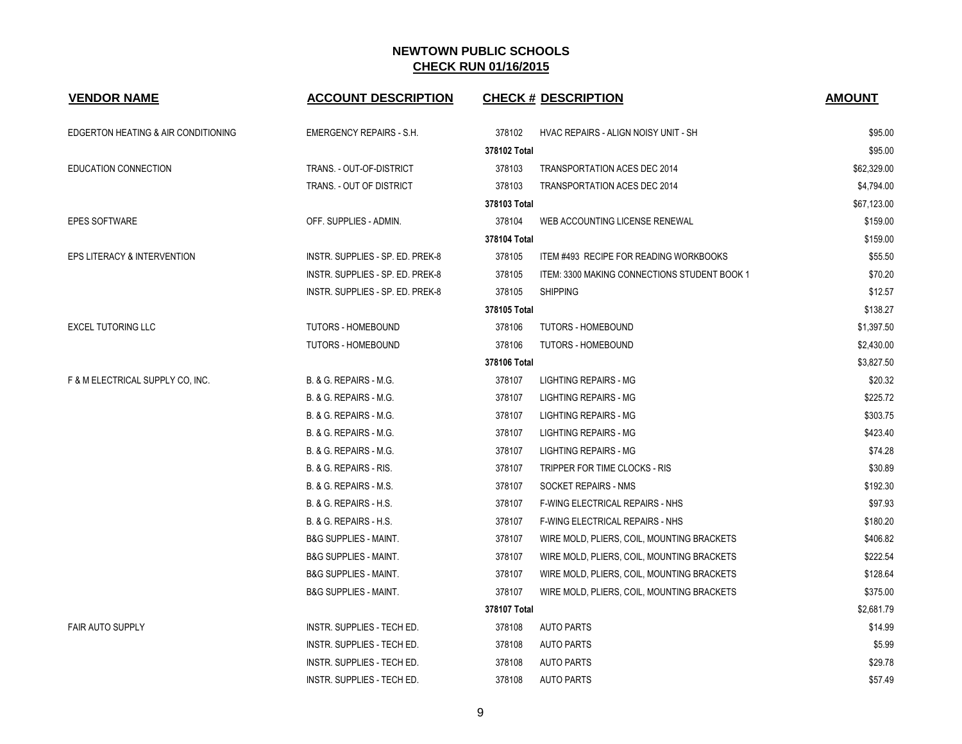| <b>VENDOR NAME</b>                  | <b>ACCOUNT DESCRIPTION</b>       |              | <b>CHECK # DESCRIPTION</b>                   | <b>AMOUNT</b> |
|-------------------------------------|----------------------------------|--------------|----------------------------------------------|---------------|
| EDGERTON HEATING & AIR CONDITIONING | <b>EMERGENCY REPAIRS - S.H.</b>  | 378102       | HVAC REPAIRS - ALIGN NOISY UNIT - SH         | \$95.00       |
|                                     |                                  | 378102 Total |                                              | \$95.00       |
| <b>EDUCATION CONNECTION</b>         | TRANS. - OUT-OF-DISTRICT         | 378103       | <b>TRANSPORTATION ACES DEC 2014</b>          | \$62,329.00   |
|                                     | TRANS. - OUT OF DISTRICT         | 378103       | <b>TRANSPORTATION ACES DEC 2014</b>          | \$4,794.00    |
|                                     |                                  | 378103 Total |                                              | \$67,123.00   |
| <b>EPES SOFTWARE</b>                | OFF. SUPPLIES - ADMIN.           | 378104       | WEB ACCOUNTING LICENSE RENEWAL               | \$159.00      |
|                                     |                                  | 378104 Total |                                              | \$159.00      |
| EPS LITERACY & INTERVENTION         | INSTR. SUPPLIES - SP. ED. PREK-8 | 378105       | ITEM #493 RECIPE FOR READING WORKBOOKS       | \$55.50       |
|                                     | INSTR. SUPPLIES - SP. ED. PREK-8 | 378105       | ITEM: 3300 MAKING CONNECTIONS STUDENT BOOK 1 | \$70.20       |
|                                     | INSTR. SUPPLIES - SP. ED. PREK-8 | 378105       | <b>SHIPPING</b>                              | \$12.57       |
|                                     |                                  | 378105 Total |                                              | \$138.27      |
| <b>EXCEL TUTORING LLC</b>           | <b>TUTORS - HOMEBOUND</b>        | 378106       | TUTORS - HOMEBOUND                           | \$1,397.50    |
|                                     | <b>TUTORS - HOMEBOUND</b>        | 378106       | <b>TUTORS - HOMEBOUND</b>                    | \$2,430.00    |
|                                     |                                  | 378106 Total |                                              | \$3,827.50    |
| F & M ELECTRICAL SUPPLY CO, INC.    | B. & G. REPAIRS - M.G.           | 378107       | <b>LIGHTING REPAIRS - MG</b>                 | \$20.32       |
|                                     | B. & G. REPAIRS - M.G.           | 378107       | LIGHTING REPAIRS - MG                        | \$225.72      |
|                                     | B. & G. REPAIRS - M.G.           | 378107       | LIGHTING REPAIRS - MG                        | \$303.75      |
|                                     | B. & G. REPAIRS - M.G.           | 378107       | LIGHTING REPAIRS - MG                        | \$423.40      |
|                                     | B. & G. REPAIRS - M.G.           | 378107       | <b>LIGHTING REPAIRS - MG</b>                 | \$74.28       |
|                                     | B. & G. REPAIRS - RIS.           | 378107       | TRIPPER FOR TIME CLOCKS - RIS                | \$30.89       |
|                                     | B. & G. REPAIRS - M.S.           | 378107       | SOCKET REPAIRS - NMS                         | \$192.30      |
|                                     | B. & G. REPAIRS - H.S.           | 378107       | <b>F-WING ELECTRICAL REPAIRS - NHS</b>       | \$97.93       |
|                                     | B. & G. REPAIRS - H.S.           | 378107       | F-WING ELECTRICAL REPAIRS - NHS              | \$180.20      |
|                                     | <b>B&amp;G SUPPLIES - MAINT.</b> | 378107       | WIRE MOLD, PLIERS, COIL, MOUNTING BRACKETS   | \$406.82      |
|                                     | <b>B&amp;G SUPPLIES - MAINT.</b> | 378107       | WIRE MOLD, PLIERS, COIL, MOUNTING BRACKETS   | \$222.54      |
|                                     | <b>B&amp;G SUPPLIES - MAINT.</b> | 378107       | WIRE MOLD, PLIERS, COIL, MOUNTING BRACKETS   | \$128.64      |
|                                     | <b>B&amp;G SUPPLIES - MAINT.</b> | 378107       | WIRE MOLD, PLIERS, COIL, MOUNTING BRACKETS   | \$375.00      |
|                                     |                                  | 378107 Total |                                              | \$2,681.79    |
| <b>FAIR AUTO SUPPLY</b>             | INSTR. SUPPLIES - TECH ED.       | 378108       | <b>AUTO PARTS</b>                            | \$14.99       |
|                                     | INSTR. SUPPLIES - TECH ED.       | 378108       | <b>AUTO PARTS</b>                            | \$5.99        |
|                                     | INSTR. SUPPLIES - TECH ED.       | 378108       | <b>AUTO PARTS</b>                            | \$29.78       |
|                                     | INSTR. SUPPLIES - TECH ED.       | 378108       | <b>AUTO PARTS</b>                            | \$57.49       |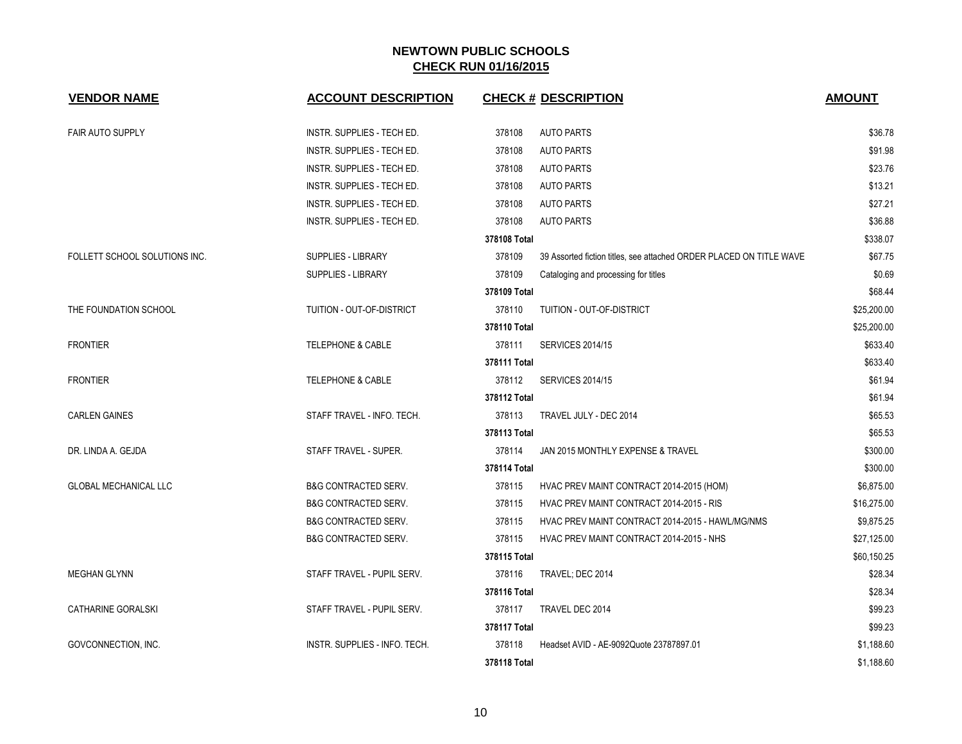| <b>VENDOR NAME</b>            | <b>ACCOUNT DESCRIPTION</b>        | <b>CHECK # DESCRIPTION</b>                                                    | <b>AMOUNT</b> |
|-------------------------------|-----------------------------------|-------------------------------------------------------------------------------|---------------|
| <b>FAIR AUTO SUPPLY</b>       | INSTR. SUPPLIES - TECH ED.        | 378108<br><b>AUTO PARTS</b>                                                   | \$36.78       |
|                               | INSTR. SUPPLIES - TECH ED.        | 378108<br><b>AUTO PARTS</b>                                                   | \$91.98       |
|                               | <b>INSTR. SUPPLIES - TECH ED.</b> | 378108<br><b>AUTO PARTS</b>                                                   | \$23.76       |
|                               | INSTR. SUPPLIES - TECH ED.        | 378108<br><b>AUTO PARTS</b>                                                   | \$13.21       |
|                               | INSTR. SUPPLIES - TECH ED.        | 378108<br><b>AUTO PARTS</b>                                                   | \$27.21       |
|                               | INSTR. SUPPLIES - TECH ED.        | <b>AUTO PARTS</b><br>378108                                                   | \$36.88       |
|                               |                                   | 378108 Total                                                                  | \$338.07      |
| FOLLETT SCHOOL SOLUTIONS INC. | SUPPLIES - LIBRARY                | 378109<br>39 Assorted fiction titles, see attached ORDER PLACED ON TITLE WAVE | \$67.75       |
|                               | <b>SUPPLIES - LIBRARY</b>         | 378109<br>Cataloging and processing for titles                                | \$0.69        |
|                               |                                   | 378109 Total                                                                  | \$68.44       |
| THE FOUNDATION SCHOOL         | TUITION - OUT-OF-DISTRICT         | 378110<br>TUITION - OUT-OF-DISTRICT                                           | \$25,200.00   |
|                               |                                   | 378110 Total                                                                  | \$25,200.00   |
| <b>FRONTIER</b>               | <b>TELEPHONE &amp; CABLE</b>      | 378111<br><b>SERVICES 2014/15</b>                                             | \$633.40      |
|                               |                                   | 378111 Total                                                                  | \$633.40      |
| <b>FRONTIER</b>               | <b>TELEPHONE &amp; CABLE</b>      | 378112<br><b>SERVICES 2014/15</b>                                             | \$61.94       |
|                               |                                   | 378112 Total                                                                  | \$61.94       |
| <b>CARLEN GAINES</b>          | STAFF TRAVEL - INFO. TECH.        | 378113<br>TRAVEL JULY - DEC 2014                                              | \$65.53       |
|                               |                                   | 378113 Total                                                                  | \$65.53       |
| DR. LINDA A. GEJDA            | STAFF TRAVEL - SUPER.             | 378114<br>JAN 2015 MONTHLY EXPENSE & TRAVEL                                   | \$300.00      |
|                               |                                   | 378114 Total                                                                  | \$300.00      |
| <b>GLOBAL MECHANICAL LLC</b>  | <b>B&amp;G CONTRACTED SERV.</b>   | 378115<br>HVAC PREV MAINT CONTRACT 2014-2015 (HOM)                            | \$6,875.00    |
|                               | <b>B&amp;G CONTRACTED SERV.</b>   | 378115<br>HVAC PREV MAINT CONTRACT 2014-2015 - RIS                            | \$16,275.00   |
|                               | <b>B&amp;G CONTRACTED SERV.</b>   | HVAC PREV MAINT CONTRACT 2014-2015 - HAWL/MG/NMS<br>378115                    | \$9,875.25    |
|                               | <b>B&amp;G CONTRACTED SERV.</b>   | 378115<br>HVAC PREV MAINT CONTRACT 2014-2015 - NHS                            | \$27,125.00   |
|                               |                                   | 378115 Total                                                                  | \$60,150.25   |
| <b>MEGHAN GLYNN</b>           | STAFF TRAVEL - PUPIL SERV.        | 378116<br>TRAVEL; DEC 2014                                                    | \$28.34       |
|                               |                                   | 378116 Total                                                                  | \$28.34       |
| CATHARINE GORALSKI            | STAFF TRAVEL - PUPIL SERV.        | 378117<br>TRAVEL DEC 2014                                                     | \$99.23       |
|                               |                                   | 378117 Total                                                                  | \$99.23       |
| GOVCONNECTION, INC.           | INSTR. SUPPLIES - INFO. TECH.     | 378118<br>Headset AVID - AE-9092Quote 23787897.01                             | \$1,188.60    |
|                               |                                   | 378118 Total                                                                  | \$1,188.60    |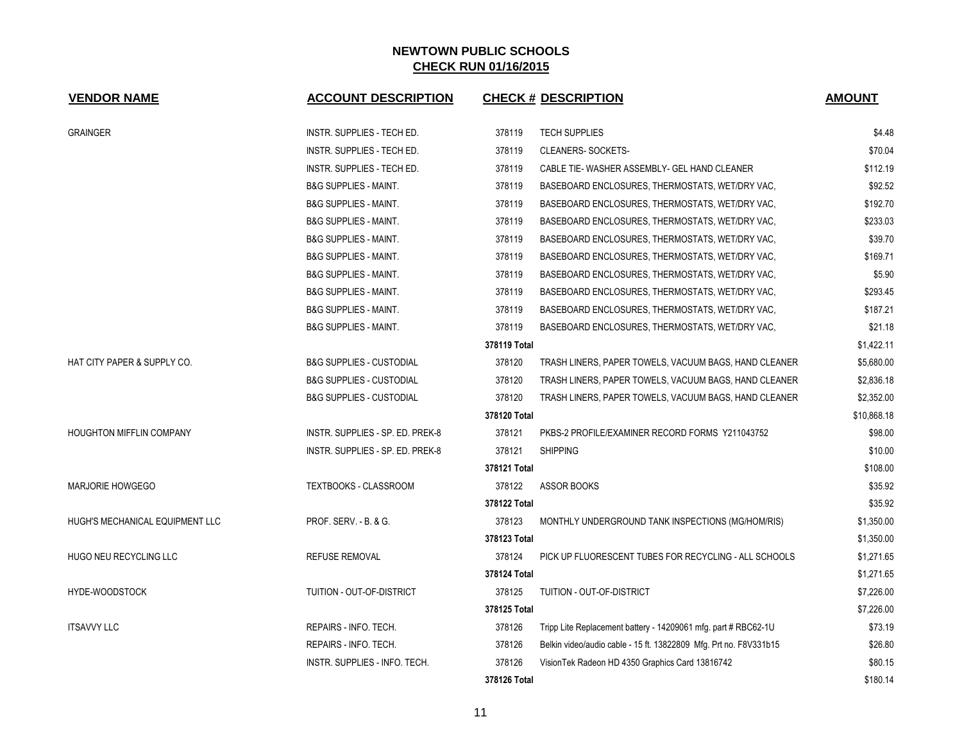| <b>VENDOR NAME</b>              | <b>ACCOUNT DESCRIPTION</b>          | <b>CHECK # DESCRIPTION</b>                                                  | <b>AMOUNT</b> |
|---------------------------------|-------------------------------------|-----------------------------------------------------------------------------|---------------|
| <b>GRAINGER</b>                 | INSTR. SUPPLIES - TECH ED.          | 378119<br><b>TECH SUPPLIES</b>                                              | \$4.48        |
|                                 | INSTR. SUPPLIES - TECH ED.          | 378119<br>CLEANERS-SOCKETS-                                                 | \$70.04       |
|                                 | INSTR. SUPPLIES - TECH ED.          | 378119<br>CABLE TIE- WASHER ASSEMBLY- GEL HAND CLEANER                      | \$112.19      |
|                                 | <b>B&amp;G SUPPLIES - MAINT.</b>    | 378119<br>BASEBOARD ENCLOSURES, THERMOSTATS, WET/DRY VAC,                   | \$92.52       |
|                                 | <b>B&amp;G SUPPLIES - MAINT.</b>    | 378119<br>BASEBOARD ENCLOSURES, THERMOSTATS, WET/DRY VAC,                   | \$192.70      |
|                                 | <b>B&amp;G SUPPLIES - MAINT.</b>    | 378119<br>BASEBOARD ENCLOSURES, THERMOSTATS, WET/DRY VAC,                   | \$233.03      |
|                                 | <b>B&amp;G SUPPLIES - MAINT.</b>    | 378119<br>BASEBOARD ENCLOSURES, THERMOSTATS, WET/DRY VAC,                   | \$39.70       |
|                                 | <b>B&amp;G SUPPLIES - MAINT.</b>    | 378119<br>BASEBOARD ENCLOSURES, THERMOSTATS, WET/DRY VAC,                   | \$169.71      |
|                                 | <b>B&amp;G SUPPLIES - MAINT.</b>    | 378119<br>BASEBOARD ENCLOSURES, THERMOSTATS, WET/DRY VAC,                   | \$5.90        |
|                                 | B&G SUPPLIES - MAINT.               | 378119<br>BASEBOARD ENCLOSURES, THERMOSTATS, WET/DRY VAC,                   | \$293.45      |
|                                 | <b>B&amp;G SUPPLIES - MAINT.</b>    | 378119<br>BASEBOARD ENCLOSURES, THERMOSTATS, WET/DRY VAC,                   | \$187.21      |
|                                 | <b>B&amp;G SUPPLIES - MAINT.</b>    | 378119<br>BASEBOARD ENCLOSURES, THERMOSTATS, WET/DRY VAC,                   | \$21.18       |
|                                 |                                     | 378119 Total                                                                | \$1,422.11    |
| HAT CITY PAPER & SUPPLY CO.     | <b>B&amp;G SUPPLIES - CUSTODIAL</b> | 378120<br>TRASH LINERS, PAPER TOWELS, VACUUM BAGS, HAND CLEANER             | \$5,680.00    |
|                                 | <b>B&amp;G SUPPLIES - CUSTODIAL</b> | 378120<br>TRASH LINERS, PAPER TOWELS, VACUUM BAGS, HAND CLEANER             | \$2,836.18    |
|                                 | <b>B&amp;G SUPPLIES - CUSTODIAL</b> | 378120<br>TRASH LINERS, PAPER TOWELS, VACUUM BAGS, HAND CLEANER             | \$2,352.00    |
|                                 |                                     | 378120 Total                                                                | \$10,868.18   |
| <b>HOUGHTON MIFFLIN COMPANY</b> | INSTR. SUPPLIES - SP. ED. PREK-8    | 378121<br>PKBS-2 PROFILE/EXAMINER RECORD FORMS Y211043752                   | \$98.00       |
|                                 | INSTR. SUPPLIES - SP. ED. PREK-8    | 378121<br><b>SHIPPING</b>                                                   | \$10.00       |
|                                 |                                     | 378121 Total                                                                | \$108.00      |
| <b>MARJORIE HOWGEGO</b>         | <b>TEXTBOOKS - CLASSROOM</b>        | 378122<br>ASSOR BOOKS                                                       | \$35.92       |
|                                 |                                     | 378122 Total                                                                | \$35.92       |
| HUGH'S MECHANICAL EQUIPMENT LLC | PROF. SERV. - B. & G.               | 378123<br>MONTHLY UNDERGROUND TANK INSPECTIONS (MG/HOM/RIS)                 | \$1,350.00    |
|                                 |                                     | 378123 Total                                                                | \$1,350.00    |
| HUGO NEU RECYCLING LLC          | <b>REFUSE REMOVAL</b>               | 378124<br>PICK UP FLUORESCENT TUBES FOR RECYCLING - ALL SCHOOLS             | \$1,271.65    |
|                                 |                                     | 378124 Total                                                                | \$1,271.65    |
| HYDE-WOODSTOCK                  | TUITION - OUT-OF-DISTRICT           | 378125<br>TUITION - OUT-OF-DISTRICT                                         | \$7,226.00    |
|                                 |                                     | 378125 Total                                                                | \$7,226.00    |
| <b>ITSAVVY LLC</b>              | REPAIRS - INFO. TECH.               | 378126<br>Tripp Lite Replacement battery - 14209061 mfg. part # RBC62-1U    | \$73.19       |
|                                 | REPAIRS - INFO. TECH.               | 378126<br>Belkin video/audio cable - 15 ft. 13822809 Mfg. Prt no. F8V331b15 | \$26.80       |
|                                 | INSTR. SUPPLIES - INFO. TECH.       | 378126<br>Vision Tek Radeon HD 4350 Graphics Card 13816742                  | \$80.15       |
|                                 |                                     | 378126 Total                                                                | \$180.14      |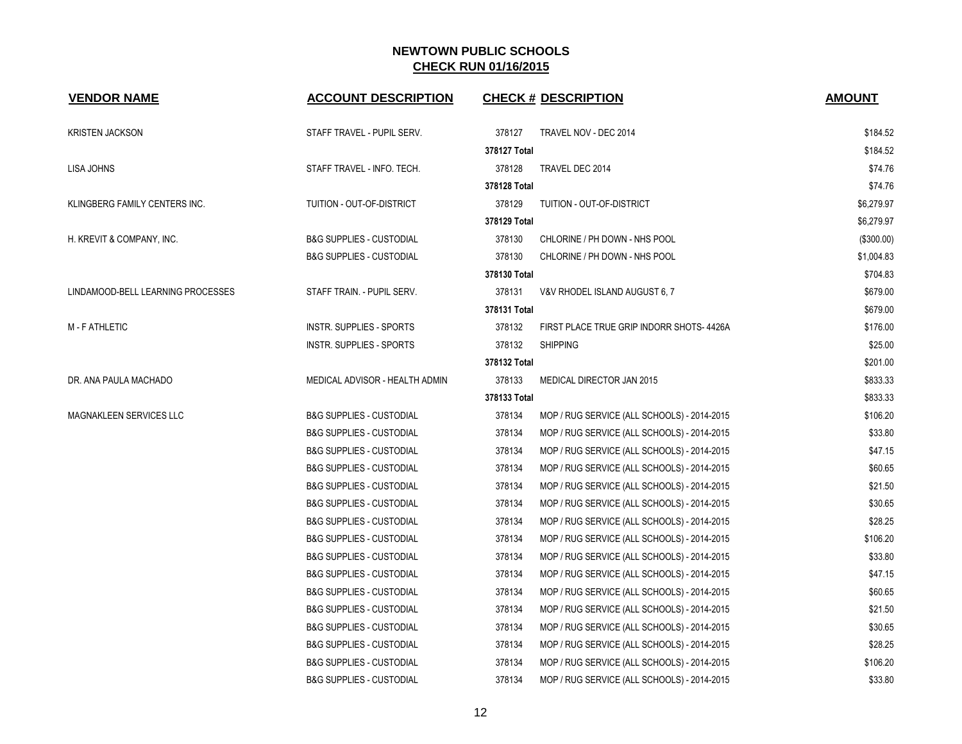| <b>VENDOR NAME</b>                | <b>ACCOUNT DESCRIPTION</b>          | <b>CHECK # DESCRIPTION</b>                            | <b>AMOUNT</b> |
|-----------------------------------|-------------------------------------|-------------------------------------------------------|---------------|
| <b>KRISTEN JACKSON</b>            | STAFF TRAVEL - PUPIL SERV.          | 378127<br>TRAVEL NOV - DEC 2014                       | \$184.52      |
|                                   |                                     | 378127 Total                                          | \$184.52      |
| LISA JOHNS                        | STAFF TRAVEL - INFO. TECH.          | 378128<br>TRAVEL DEC 2014                             | \$74.76       |
|                                   |                                     | 378128 Total                                          | \$74.76       |
| KLINGBERG FAMILY CENTERS INC.     | TUITION - OUT-OF-DISTRICT           | 378129<br>TUITION - OUT-OF-DISTRICT                   | \$6,279.97    |
|                                   |                                     | 378129 Total                                          | \$6,279.97    |
| H. KREVIT & COMPANY, INC.         | <b>B&amp;G SUPPLIES - CUSTODIAL</b> | 378130<br>CHLORINE / PH DOWN - NHS POOL               | (\$300.00)    |
|                                   | <b>B&amp;G SUPPLIES - CUSTODIAL</b> | 378130<br>CHLORINE / PH DOWN - NHS POOL               | \$1,004.83    |
|                                   |                                     | 378130 Total                                          | \$704.83      |
| LINDAMOOD-BELL LEARNING PROCESSES | STAFF TRAIN. - PUPIL SERV.          | 378131<br>V&V RHODEL ISLAND AUGUST 6, 7               | \$679.00      |
|                                   |                                     | 378131 Total                                          | \$679.00      |
| M - F ATHLETIC                    | INSTR. SUPPLIES - SPORTS            | 378132<br>FIRST PLACE TRUE GRIP INDORR SHOTS-4426A    | \$176.00      |
|                                   | INSTR. SUPPLIES - SPORTS            | 378132<br><b>SHIPPING</b>                             | \$25.00       |
|                                   |                                     | 378132 Total                                          | \$201.00      |
| DR. ANA PAULA MACHADO             | MEDICAL ADVISOR - HEALTH ADMIN      | 378133<br>MEDICAL DIRECTOR JAN 2015                   | \$833.33      |
|                                   |                                     | 378133 Total                                          | \$833.33      |
| MAGNAKLEEN SERVICES LLC           | <b>B&amp;G SUPPLIES - CUSTODIAL</b> | 378134<br>MOP / RUG SERVICE (ALL SCHOOLS) - 2014-2015 | \$106.20      |
|                                   | <b>B&amp;G SUPPLIES - CUSTODIAL</b> | 378134<br>MOP / RUG SERVICE (ALL SCHOOLS) - 2014-2015 | \$33.80       |
|                                   | <b>B&amp;G SUPPLIES - CUSTODIAL</b> | 378134<br>MOP / RUG SERVICE (ALL SCHOOLS) - 2014-2015 | \$47.15       |
|                                   | <b>B&amp;G SUPPLIES - CUSTODIAL</b> | 378134<br>MOP / RUG SERVICE (ALL SCHOOLS) - 2014-2015 | \$60.65       |
|                                   | <b>B&amp;G SUPPLIES - CUSTODIAL</b> | 378134<br>MOP / RUG SERVICE (ALL SCHOOLS) - 2014-2015 | \$21.50       |
|                                   | <b>B&amp;G SUPPLIES - CUSTODIAL</b> | 378134<br>MOP / RUG SERVICE (ALL SCHOOLS) - 2014-2015 | \$30.65       |
|                                   | <b>B&amp;G SUPPLIES - CUSTODIAL</b> | 378134<br>MOP / RUG SERVICE (ALL SCHOOLS) - 2014-2015 | \$28.25       |
|                                   | <b>B&amp;G SUPPLIES - CUSTODIAL</b> | 378134<br>MOP / RUG SERVICE (ALL SCHOOLS) - 2014-2015 | \$106.20      |
|                                   | <b>B&amp;G SUPPLIES - CUSTODIAL</b> | 378134<br>MOP / RUG SERVICE (ALL SCHOOLS) - 2014-2015 | \$33.80       |
|                                   | <b>B&amp;G SUPPLIES - CUSTODIAL</b> | 378134<br>MOP / RUG SERVICE (ALL SCHOOLS) - 2014-2015 | \$47.15       |
|                                   | <b>B&amp;G SUPPLIES - CUSTODIAL</b> | 378134<br>MOP / RUG SERVICE (ALL SCHOOLS) - 2014-2015 | \$60.65       |
|                                   | <b>B&amp;G SUPPLIES - CUSTODIAL</b> | 378134<br>MOP / RUG SERVICE (ALL SCHOOLS) - 2014-2015 | \$21.50       |
|                                   | <b>B&amp;G SUPPLIES - CUSTODIAL</b> | 378134<br>MOP / RUG SERVICE (ALL SCHOOLS) - 2014-2015 | \$30.65       |
|                                   | <b>B&amp;G SUPPLIES - CUSTODIAL</b> | 378134<br>MOP / RUG SERVICE (ALL SCHOOLS) - 2014-2015 | \$28.25       |
|                                   | <b>B&amp;G SUPPLIES - CUSTODIAL</b> | 378134<br>MOP / RUG SERVICE (ALL SCHOOLS) - 2014-2015 | \$106.20      |
|                                   | <b>B&amp;G SUPPLIES - CUSTODIAL</b> | 378134<br>MOP / RUG SERVICE (ALL SCHOOLS) - 2014-2015 | \$33.80       |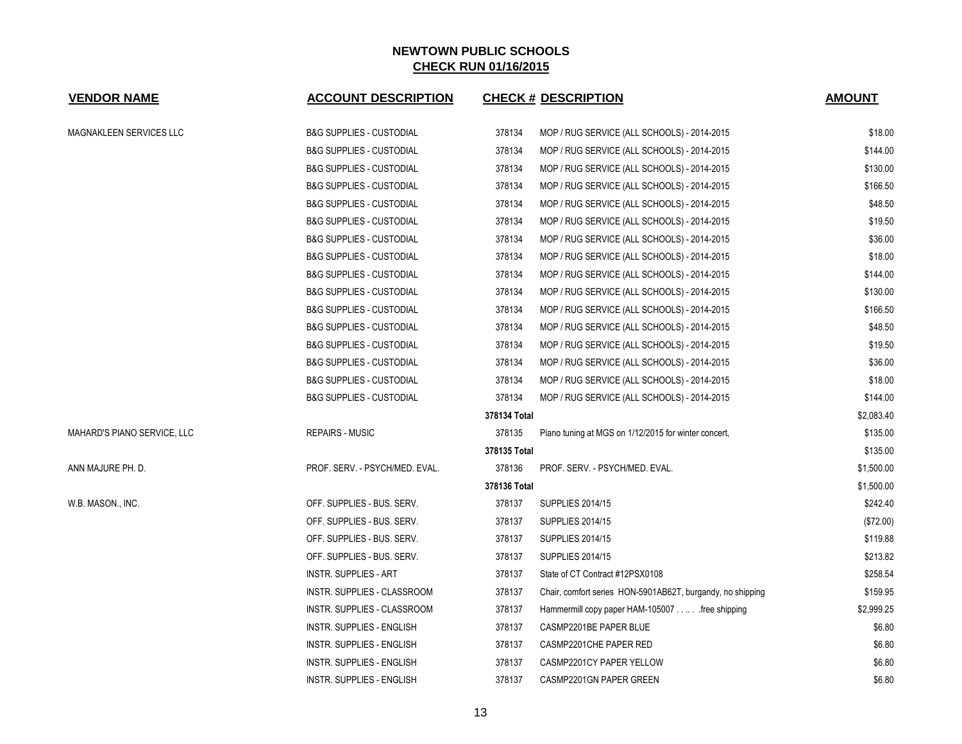| <b>VENDOR NAME</b>          | <b>ACCOUNT DESCRIPTION</b>          |              | <b>CHECK # DESCRIPTION</b>                                 | <b>AMOUNT</b> |
|-----------------------------|-------------------------------------|--------------|------------------------------------------------------------|---------------|
| MAGNAKLEEN SERVICES LLC     | <b>B&amp;G SUPPLIES - CUSTODIAL</b> | 378134       | MOP / RUG SERVICE (ALL SCHOOLS) - 2014-2015                | \$18.00       |
|                             | <b>B&amp;G SUPPLIES - CUSTODIAL</b> | 378134       | MOP / RUG SERVICE (ALL SCHOOLS) - 2014-2015                | \$144.00      |
|                             | <b>B&amp;G SUPPLIES - CUSTODIAL</b> | 378134       | MOP / RUG SERVICE (ALL SCHOOLS) - 2014-2015                | \$130.00      |
|                             | <b>B&amp;G SUPPLIES - CUSTODIAL</b> | 378134       | MOP / RUG SERVICE (ALL SCHOOLS) - 2014-2015                | \$166.50      |
|                             | <b>B&amp;G SUPPLIES - CUSTODIAL</b> | 378134       | MOP / RUG SERVICE (ALL SCHOOLS) - 2014-2015                | \$48.50       |
|                             | <b>B&amp;G SUPPLIES - CUSTODIAL</b> | 378134       | MOP / RUG SERVICE (ALL SCHOOLS) - 2014-2015                | \$19.50       |
|                             | <b>B&amp;G SUPPLIES - CUSTODIAL</b> | 378134       | MOP / RUG SERVICE (ALL SCHOOLS) - 2014-2015                | \$36.00       |
|                             | <b>B&amp;G SUPPLIES - CUSTODIAL</b> | 378134       | MOP / RUG SERVICE (ALL SCHOOLS) - 2014-2015                | \$18.00       |
|                             | <b>B&amp;G SUPPLIES - CUSTODIAL</b> | 378134       | MOP / RUG SERVICE (ALL SCHOOLS) - 2014-2015                | \$144.00      |
|                             | <b>B&amp;G SUPPLIES - CUSTODIAL</b> | 378134       | MOP / RUG SERVICE (ALL SCHOOLS) - 2014-2015                | \$130.00      |
|                             | <b>B&amp;G SUPPLIES - CUSTODIAL</b> | 378134       | MOP / RUG SERVICE (ALL SCHOOLS) - 2014-2015                | \$166.50      |
|                             | <b>B&amp;G SUPPLIES - CUSTODIAL</b> | 378134       | MOP / RUG SERVICE (ALL SCHOOLS) - 2014-2015                | \$48.50       |
|                             | <b>B&amp;G SUPPLIES - CUSTODIAL</b> | 378134       | MOP / RUG SERVICE (ALL SCHOOLS) - 2014-2015                | \$19.50       |
|                             | <b>B&amp;G SUPPLIES - CUSTODIAL</b> | 378134       | MOP / RUG SERVICE (ALL SCHOOLS) - 2014-2015                | \$36.00       |
|                             | <b>B&amp;G SUPPLIES - CUSTODIAL</b> | 378134       | MOP / RUG SERVICE (ALL SCHOOLS) - 2014-2015                | \$18.00       |
|                             | <b>B&amp;G SUPPLIES - CUSTODIAL</b> | 378134       | MOP / RUG SERVICE (ALL SCHOOLS) - 2014-2015                | \$144.00      |
|                             |                                     | 378134 Total |                                                            | \$2,083.40    |
| MAHARD'S PIANO SERVICE, LLC | <b>REPAIRS - MUSIC</b>              | 378135       | Piano tuning at MGS on 1/12/2015 for winter concert,       | \$135.00      |
|                             |                                     | 378135 Total |                                                            | \$135.00      |
| ANN MAJURE PH. D.           | PROF. SERV. - PSYCH/MED. EVAL.      | 378136       | PROF. SERV. - PSYCH/MED. EVAL.                             | \$1,500.00    |
|                             |                                     | 378136 Total |                                                            | \$1,500.00    |
| W.B. MASON., INC.           | OFF. SUPPLIES - BUS. SERV.          | 378137       | <b>SUPPLIES 2014/15</b>                                    | \$242.40      |
|                             | OFF. SUPPLIES - BUS. SERV.          | 378137       | <b>SUPPLIES 2014/15</b>                                    | (\$72.00)     |
|                             | OFF. SUPPLIES - BUS. SERV.          | 378137       | <b>SUPPLIES 2014/15</b>                                    | \$119.88      |
|                             | OFF. SUPPLIES - BUS. SERV.          | 378137       | <b>SUPPLIES 2014/15</b>                                    | \$213.82      |
|                             | INSTR. SUPPLIES - ART               | 378137       | State of CT Contract #12PSX0108                            | \$258.54      |
|                             | INSTR. SUPPLIES - CLASSROOM         | 378137       | Chair, comfort series HON-5901AB62T, burgandy, no shipping | \$159.95      |
|                             | INSTR. SUPPLIES - CLASSROOM         | 378137       | Hammermill copy paper HAM-105007 free shipping             | \$2,999.25    |
|                             | INSTR. SUPPLIES - ENGLISH           | 378137       | CASMP2201BE PAPER BLUE                                     | \$6.80        |
|                             | INSTR. SUPPLIES - ENGLISH           | 378137       | CASMP2201CHE PAPER RED                                     | \$6.80        |
|                             | INSTR. SUPPLIES - ENGLISH           | 378137       | CASMP2201CY PAPER YELLOW                                   | \$6.80        |
|                             | <b>INSTR. SUPPLIES - ENGLISH</b>    | 378137       | CASMP2201GN PAPER GREEN                                    | \$6.80        |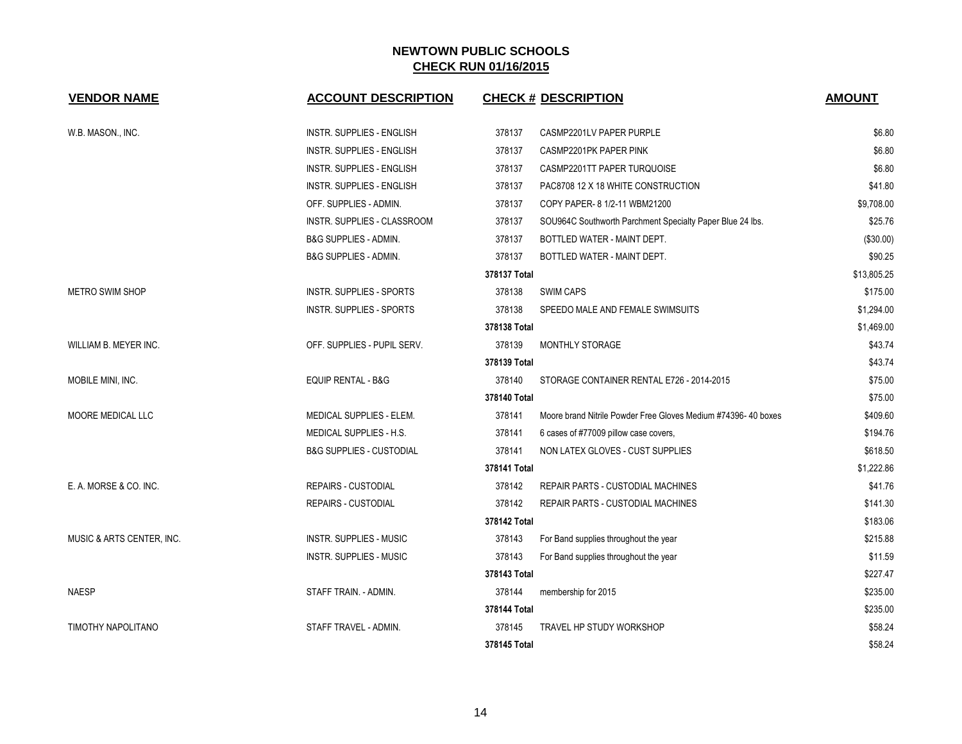| <b>VENDOR NAME</b>        | <b>ACCOUNT DESCRIPTION</b>          | <b>CHECK # DESCRIPTION</b>                                              | <b>AMOUNT</b> |
|---------------------------|-------------------------------------|-------------------------------------------------------------------------|---------------|
| W.B. MASON., INC.         | <b>INSTR. SUPPLIES - ENGLISH</b>    | 378137<br>CASMP2201LV PAPER PURPLE                                      | \$6.80        |
|                           | <b>INSTR. SUPPLIES - ENGLISH</b>    | 378137<br>CASMP2201PK PAPER PINK                                        | \$6.80        |
|                           | <b>INSTR. SUPPLIES - ENGLISH</b>    | 378137<br>CASMP2201TT PAPER TURQUOISE                                   | \$6.80        |
|                           | <b>INSTR. SUPPLIES - ENGLISH</b>    | 378137<br>PAC8708 12 X 18 WHITE CONSTRUCTION                            | \$41.80       |
|                           | OFF. SUPPLIES - ADMIN.              | 378137<br>COPY PAPER- 8 1/2-11 WBM21200                                 | \$9,708.00    |
|                           | INSTR. SUPPLIES - CLASSROOM         | 378137<br>SOU964C Southworth Parchment Specialty Paper Blue 24 lbs.     | \$25.76       |
|                           | <b>B&amp;G SUPPLIES - ADMIN.</b>    | 378137<br>BOTTLED WATER - MAINT DEPT.                                   | (\$30.00)     |
|                           | <b>B&amp;G SUPPLIES - ADMIN.</b>    | 378137<br>BOTTLED WATER - MAINT DEPT.                                   | \$90.25       |
|                           |                                     | 378137 Total                                                            | \$13,805.25   |
| <b>METRO SWIM SHOP</b>    | INSTR. SUPPLIES - SPORTS            | 378138<br><b>SWIM CAPS</b>                                              | \$175.00      |
|                           | INSTR. SUPPLIES - SPORTS            | 378138<br>SPEEDO MALE AND FEMALE SWIMSUITS                              | \$1,294.00    |
|                           |                                     | 378138 Total                                                            | \$1,469.00    |
| WILLIAM B. MEYER INC.     | OFF. SUPPLIES - PUPIL SERV.         | 378139<br>MONTHLY STORAGE                                               | \$43.74       |
|                           |                                     | 378139 Total                                                            | \$43.74       |
| MOBILE MINI, INC.         | EQUIP RENTAL - B&G                  | 378140<br>STORAGE CONTAINER RENTAL E726 - 2014-2015                     | \$75.00       |
|                           |                                     | 378140 Total                                                            | \$75.00       |
| MOORE MEDICAL LLC         | <b>MEDICAL SUPPLIES - ELEM.</b>     | 378141<br>Moore brand Nitrile Powder Free Gloves Medium #74396-40 boxes | \$409.60      |
|                           | MEDICAL SUPPLIES - H.S.             | 378141<br>6 cases of #77009 pillow case covers,                         | \$194.76      |
|                           | <b>B&amp;G SUPPLIES - CUSTODIAL</b> | 378141<br>NON LATEX GLOVES - CUST SUPPLIES                              | \$618.50      |
|                           |                                     | 378141 Total                                                            | \$1,222.86    |
| E. A. MORSE & CO. INC.    | <b>REPAIRS - CUSTODIAL</b>          | 378142<br>REPAIR PARTS - CUSTODIAL MACHINES                             | \$41.76       |
|                           | <b>REPAIRS - CUSTODIAL</b>          | 378142<br>REPAIR PARTS - CUSTODIAL MACHINES                             | \$141.30      |
|                           |                                     | 378142 Total                                                            | \$183.06      |
| MUSIC & ARTS CENTER, INC. | <b>INSTR. SUPPLIES - MUSIC</b>      | 378143<br>For Band supplies throughout the year                         | \$215.88      |
|                           | <b>INSTR. SUPPLIES - MUSIC</b>      | 378143<br>For Band supplies throughout the year                         | \$11.59       |
|                           |                                     | 378143 Total                                                            | \$227.47      |
| <b>NAESP</b>              | STAFF TRAIN. - ADMIN.               | 378144<br>membership for 2015                                           | \$235.00      |
|                           |                                     | 378144 Total                                                            | \$235.00      |
| TIMOTHY NAPOLITANO        | STAFF TRAVEL - ADMIN.               | 378145<br><b>TRAVEL HP STUDY WORKSHOP</b>                               | \$58.24       |
|                           |                                     | 378145 Total                                                            | \$58.24       |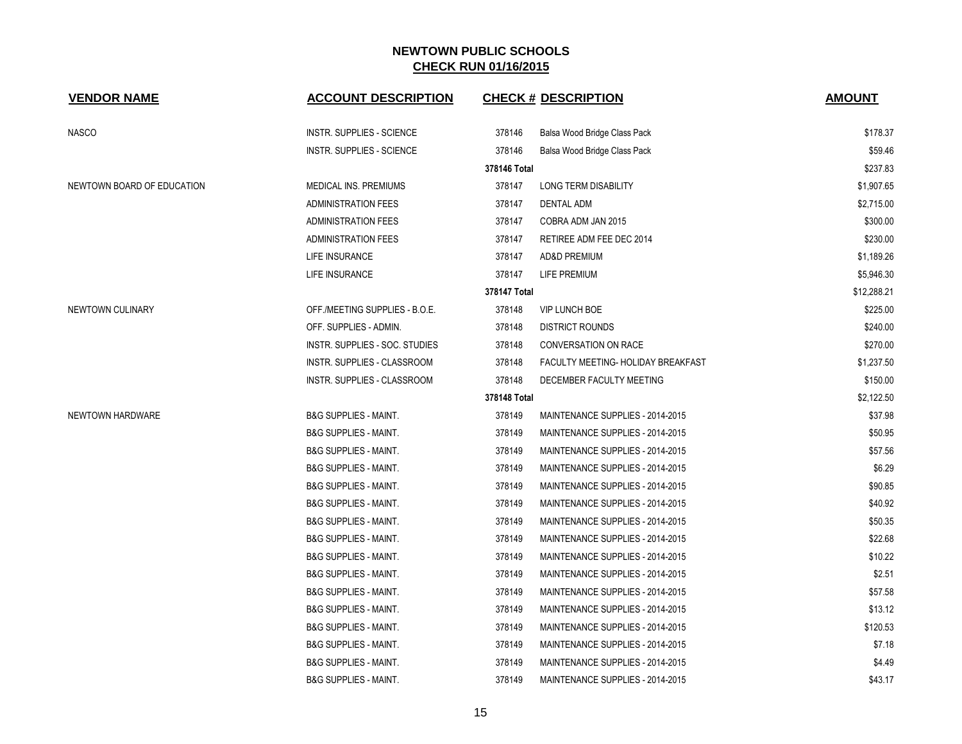| <b>VENDOR NAME</b>         | <b>ACCOUNT DESCRIPTION</b>       |              | <b>CHECK # DESCRIPTION</b>         | <b>AMOUNT</b> |
|----------------------------|----------------------------------|--------------|------------------------------------|---------------|
| NASCO                      | <b>INSTR. SUPPLIES - SCIENCE</b> | 378146       | Balsa Wood Bridge Class Pack       | \$178.37      |
|                            | <b>INSTR. SUPPLIES - SCIENCE</b> | 378146       | Balsa Wood Bridge Class Pack       | \$59.46       |
|                            |                                  | 378146 Total |                                    | \$237.83      |
| NEWTOWN BOARD OF EDUCATION | MEDICAL INS. PREMIUMS            | 378147       | <b>LONG TERM DISABILITY</b>        | \$1,907.65    |
|                            | <b>ADMINISTRATION FEES</b>       | 378147       | <b>DENTAL ADM</b>                  | \$2,715.00    |
|                            | <b>ADMINISTRATION FEES</b>       | 378147       | COBRA ADM JAN 2015                 | \$300.00      |
|                            | <b>ADMINISTRATION FEES</b>       | 378147       | RETIREE ADM FEE DEC 2014           | \$230.00      |
|                            | LIFE INSURANCE                   | 378147       | AD&D PREMIUM                       | \$1,189.26    |
|                            | LIFE INSURANCE                   | 378147       | LIFE PREMIUM                       | \$5,946.30    |
|                            |                                  | 378147 Total |                                    | \$12,288.21   |
| NEWTOWN CULINARY           | OFF./MEETING SUPPLIES - B.O.E.   | 378148       | <b>VIP LUNCH BOE</b>               | \$225.00      |
|                            | OFF. SUPPLIES - ADMIN.           | 378148       | <b>DISTRICT ROUNDS</b>             | \$240.00      |
|                            | INSTR. SUPPLIES - SOC. STUDIES   | 378148       | CONVERSATION ON RACE               | \$270.00      |
|                            | INSTR. SUPPLIES - CLASSROOM      | 378148       | FACULTY MEETING- HOLIDAY BREAKFAST | \$1,237.50    |
|                            | INSTR. SUPPLIES - CLASSROOM      | 378148       | DECEMBER FACULTY MEETING           | \$150.00      |
|                            |                                  | 378148 Total |                                    | \$2,122.50    |
| NEWTOWN HARDWARE           | <b>B&amp;G SUPPLIES - MAINT.</b> | 378149       | MAINTENANCE SUPPLIES - 2014-2015   | \$37.98       |
|                            | <b>B&amp;G SUPPLIES - MAINT.</b> | 378149       | MAINTENANCE SUPPLIES - 2014-2015   | \$50.95       |
|                            | <b>B&amp;G SUPPLIES - MAINT.</b> | 378149       | MAINTENANCE SUPPLIES - 2014-2015   | \$57.56       |
|                            | <b>B&amp;G SUPPLIES - MAINT.</b> | 378149       | MAINTENANCE SUPPLIES - 2014-2015   | \$6.29        |
|                            | <b>B&amp;G SUPPLIES - MAINT.</b> | 378149       | MAINTENANCE SUPPLIES - 2014-2015   | \$90.85       |
|                            | <b>B&amp;G SUPPLIES - MAINT.</b> | 378149       | MAINTENANCE SUPPLIES - 2014-2015   | \$40.92       |
|                            | <b>B&amp;G SUPPLIES - MAINT.</b> | 378149       | MAINTENANCE SUPPLIES - 2014-2015   | \$50.35       |
|                            | <b>B&amp;G SUPPLIES - MAINT.</b> | 378149       | MAINTENANCE SUPPLIES - 2014-2015   | \$22.68       |
|                            | <b>B&amp;G SUPPLIES - MAINT.</b> | 378149       | MAINTENANCE SUPPLIES - 2014-2015   | \$10.22       |
|                            | <b>B&amp;G SUPPLIES - MAINT.</b> | 378149       | MAINTENANCE SUPPLIES - 2014-2015   | \$2.51        |
|                            | <b>B&amp;G SUPPLIES - MAINT.</b> | 378149       | MAINTENANCE SUPPLIES - 2014-2015   | \$57.58       |
|                            | <b>B&amp;G SUPPLIES - MAINT.</b> | 378149       | MAINTENANCE SUPPLIES - 2014-2015   | \$13.12       |
|                            | <b>B&amp;G SUPPLIES - MAINT.</b> | 378149       | MAINTENANCE SUPPLIES - 2014-2015   | \$120.53      |
|                            | <b>B&amp;G SUPPLIES - MAINT.</b> | 378149       | MAINTENANCE SUPPLIES - 2014-2015   | \$7.18        |
|                            | <b>B&amp;G SUPPLIES - MAINT.</b> | 378149       | MAINTENANCE SUPPLIES - 2014-2015   | \$4.49        |
|                            | <b>B&amp;G SUPPLIES - MAINT.</b> | 378149       | MAINTENANCE SUPPLIES - 2014-2015   | \$43.17       |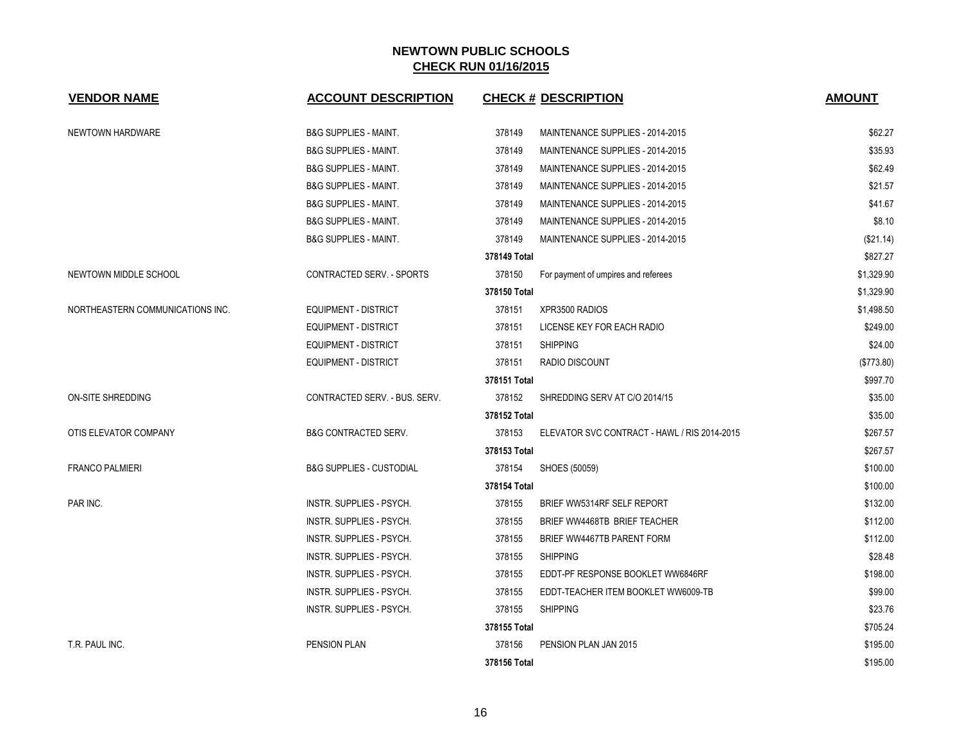| <b>VENDOR NAME</b>               | <b>ACCOUNT DESCRIPTION</b>          | <b>CHECK # DESCRIPTION</b>                             | <b>AMOUNT</b> |
|----------------------------------|-------------------------------------|--------------------------------------------------------|---------------|
| NEWTOWN HARDWARE                 | <b>B&amp;G SUPPLIES - MAINT.</b>    | 378149<br>MAINTENANCE SUPPLIES - 2014-2015             | \$62.27       |
|                                  | <b>B&amp;G SUPPLIES - MAINT.</b>    | 378149<br>MAINTENANCE SUPPLIES - 2014-2015             | \$35.93       |
|                                  | <b>B&amp;G SUPPLIES - MAINT.</b>    | 378149<br>MAINTENANCE SUPPLIES - 2014-2015             | \$62.49       |
|                                  | <b>B&amp;G SUPPLIES - MAINT.</b>    | 378149<br>MAINTENANCE SUPPLIES - 2014-2015             | \$21.57       |
|                                  | <b>B&amp;G SUPPLIES - MAINT.</b>    | 378149<br>MAINTENANCE SUPPLIES - 2014-2015             | \$41.67       |
|                                  | <b>B&amp;G SUPPLIES - MAINT.</b>    | 378149<br>MAINTENANCE SUPPLIES - 2014-2015             | \$8.10        |
|                                  | <b>B&amp;G SUPPLIES - MAINT.</b>    | 378149<br>MAINTENANCE SUPPLIES - 2014-2015             | (\$21.14)     |
|                                  |                                     | 378149 Total                                           | \$827.27      |
| NEWTOWN MIDDLE SCHOOL            | CONTRACTED SERV. - SPORTS           | 378150<br>For payment of umpires and referees          | \$1,329.90    |
|                                  |                                     | 378150 Total                                           | \$1,329.90    |
| NORTHEASTERN COMMUNICATIONS INC. | <b>EQUIPMENT - DISTRICT</b>         | XPR3500 RADIOS<br>378151                               | \$1,498.50    |
|                                  | <b>EQUIPMENT - DISTRICT</b>         | 378151<br>LICENSE KEY FOR EACH RADIO                   | \$249.00      |
|                                  | <b>EQUIPMENT - DISTRICT</b>         | 378151<br><b>SHIPPING</b>                              | \$24.00       |
|                                  | <b>EQUIPMENT - DISTRICT</b>         | 378151<br>RADIO DISCOUNT                               | (\$773.80)    |
|                                  |                                     | 378151 Total                                           | \$997.70      |
| ON-SITE SHREDDING                | CONTRACTED SERV. - BUS. SERV.       | 378152<br>SHREDDING SERV AT C/O 2014/15                | \$35.00       |
|                                  |                                     | 378152 Total                                           | \$35.00       |
| OTIS ELEVATOR COMPANY            | <b>B&amp;G CONTRACTED SERV.</b>     | 378153<br>ELEVATOR SVC CONTRACT - HAWL / RIS 2014-2015 | \$267.57      |
|                                  |                                     | 378153 Total                                           | \$267.57      |
| <b>FRANCO PALMIERI</b>           | <b>B&amp;G SUPPLIES - CUSTODIAL</b> | 378154<br>SHOES (50059)                                | \$100.00      |
|                                  |                                     | 378154 Total                                           | \$100.00      |
| PAR INC.                         | INSTR. SUPPLIES - PSYCH.            | 378155<br>BRIEF WW5314RF SELF REPORT                   | \$132.00      |
|                                  | INSTR. SUPPLIES - PSYCH.            | 378155<br>BRIEF WW4468TB BRIEF TEACHER                 | \$112.00      |
|                                  | INSTR. SUPPLIES - PSYCH.            | 378155<br>BRIEF WW4467TB PARENT FORM                   | \$112.00      |
|                                  | INSTR. SUPPLIES - PSYCH.            | <b>SHIPPING</b><br>378155                              | \$28.48       |
|                                  | INSTR. SUPPLIES - PSYCH.            | 378155<br>EDDT-PF RESPONSE BOOKLET WW6846RF            | \$198.00      |
|                                  | INSTR. SUPPLIES - PSYCH.            | 378155<br>EDDT-TEACHER ITEM BOOKLET WW6009-TB          | \$99.00       |
|                                  | INSTR. SUPPLIES - PSYCH.            | 378155<br><b>SHIPPING</b>                              | \$23.76       |
|                                  |                                     | 378155 Total                                           | \$705.24      |
| T.R. PAUL INC.                   | <b>PENSION PLAN</b>                 | 378156<br>PENSION PLAN JAN 2015                        | \$195.00      |
|                                  |                                     | 378156 Total                                           | \$195.00      |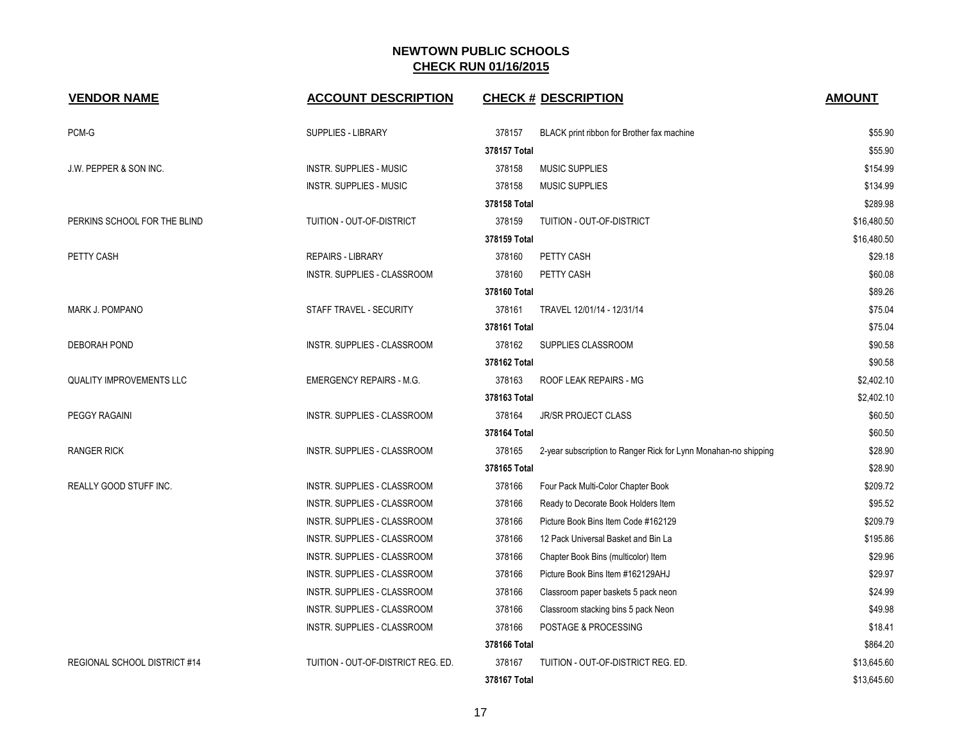| <b>VENDOR NAME</b>                | <b>ACCOUNT DESCRIPTION</b>         | <b>CHECK # DESCRIPTION</b>                                                | <b>AMOUNT</b> |
|-----------------------------------|------------------------------------|---------------------------------------------------------------------------|---------------|
| PCM-G                             | <b>SUPPLIES - LIBRARY</b>          | 378157<br>BLACK print ribbon for Brother fax machine                      | \$55.90       |
|                                   |                                    | 378157 Total                                                              | \$55.90       |
| <b>J.W. PEPPER &amp; SON INC.</b> | <b>INSTR. SUPPLIES - MUSIC</b>     | 378158<br><b>MUSIC SUPPLIES</b>                                           | \$154.99      |
|                                   | <b>INSTR. SUPPLIES - MUSIC</b>     | 378158<br><b>MUSIC SUPPLIES</b>                                           | \$134.99      |
|                                   |                                    | 378158 Total                                                              | \$289.98      |
| PERKINS SCHOOL FOR THE BLIND      | TUITION - OUT-OF-DISTRICT          | 378159<br>TUITION - OUT-OF-DISTRICT                                       | \$16,480.50   |
|                                   |                                    | 378159 Total                                                              | \$16,480.50   |
| PETTY CASH                        | <b>REPAIRS - LIBRARY</b>           | 378160<br>PETTY CASH                                                      | \$29.18       |
|                                   | INSTR. SUPPLIES - CLASSROOM        | 378160<br>PETTY CASH                                                      | \$60.08       |
|                                   |                                    | 378160 Total                                                              | \$89.26       |
| <b>MARK J. POMPANO</b>            | STAFF TRAVEL - SECURITY            | 378161<br>TRAVEL 12/01/14 - 12/31/14                                      | \$75.04       |
|                                   |                                    | 378161 Total                                                              | \$75.04       |
| <b>DEBORAH POND</b>               | <b>INSTR. SUPPLIES - CLASSROOM</b> | 378162<br>SUPPLIES CLASSROOM                                              | \$90.58       |
|                                   |                                    | 378162 Total                                                              | \$90.58       |
| <b>QUALITY IMPROVEMENTS LLC</b>   | <b>EMERGENCY REPAIRS - M.G.</b>    | ROOF LEAK REPAIRS - MG<br>378163                                          | \$2,402.10    |
|                                   |                                    | 378163 Total                                                              | \$2,402.10    |
| PEGGY RAGAINI                     | INSTR. SUPPLIES - CLASSROOM        | 378164<br><b>JR/SR PROJECT CLASS</b>                                      | \$60.50       |
|                                   |                                    | 378164 Total                                                              | \$60.50       |
| <b>RANGER RICK</b>                | <b>INSTR. SUPPLIES - CLASSROOM</b> | 378165<br>2-year subscription to Ranger Rick for Lynn Monahan-no shipping | \$28.90       |
|                                   |                                    | 378165 Total                                                              | \$28.90       |
| REALLY GOOD STUFF INC.            | INSTR. SUPPLIES - CLASSROOM        | 378166<br>Four Pack Multi-Color Chapter Book                              | \$209.72      |
|                                   | INSTR. SUPPLIES - CLASSROOM        | 378166<br>Ready to Decorate Book Holders Item                             | \$95.52       |
|                                   | INSTR. SUPPLIES - CLASSROOM        | 378166<br>Picture Book Bins Item Code #162129                             | \$209.79      |
|                                   | <b>INSTR. SUPPLIES - CLASSROOM</b> | 378166<br>12 Pack Universal Basket and Bin La                             | \$195.86      |
|                                   | INSTR. SUPPLIES - CLASSROOM        | 378166<br>Chapter Book Bins (multicolor) Item                             | \$29.96       |
|                                   | INSTR. SUPPLIES - CLASSROOM        | 378166<br>Picture Book Bins Item #162129AHJ                               | \$29.97       |
|                                   | INSTR. SUPPLIES - CLASSROOM        | 378166<br>Classroom paper baskets 5 pack neon                             | \$24.99       |
|                                   | INSTR. SUPPLIES - CLASSROOM        | 378166<br>Classroom stacking bins 5 pack Neon                             | \$49.98       |
|                                   | INSTR. SUPPLIES - CLASSROOM        | 378166<br>POSTAGE & PROCESSING                                            | \$18.41       |
|                                   |                                    | 378166 Total                                                              | \$864.20      |
| REGIONAL SCHOOL DISTRICT #14      | TUITION - OUT-OF-DISTRICT REG. ED. | 378167<br>TUITION - OUT-OF-DISTRICT REG. ED.                              | \$13,645.60   |
|                                   |                                    | 378167 Total                                                              | \$13,645.60   |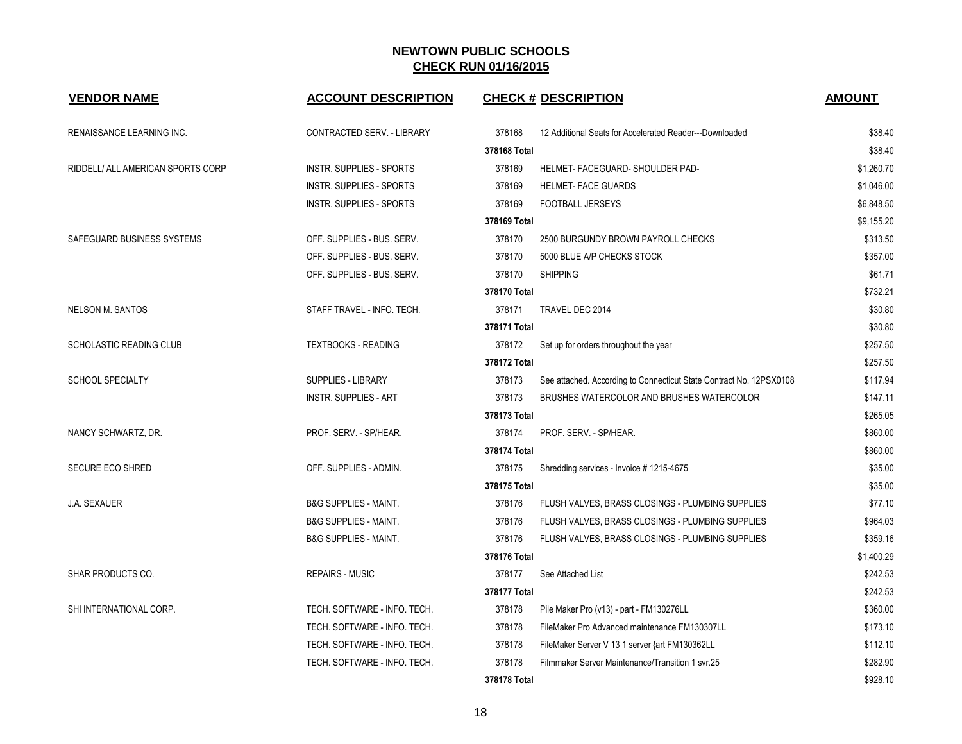| <b>VENDOR NAME</b>                | <b>ACCOUNT DESCRIPTION</b>       | <b>CHECK # DESCRIPTION</b>                                                    | <b>AMOUNT</b> |
|-----------------------------------|----------------------------------|-------------------------------------------------------------------------------|---------------|
| RENAISSANCE LEARNING INC.         | CONTRACTED SERV. - LIBRARY       | 378168<br>12 Additional Seats for Accelerated Reader---Downloaded             | \$38.40       |
|                                   |                                  | 378168 Total                                                                  | \$38.40       |
| RIDDELL/ ALL AMERICAN SPORTS CORP | <b>INSTR. SUPPLIES - SPORTS</b>  | 378169<br>HELMET- FACEGUARD- SHOULDER PAD-                                    | \$1,260.70    |
|                                   | INSTR. SUPPLIES - SPORTS         | 378169<br><b>HELMET- FACE GUARDS</b>                                          | \$1,046.00    |
|                                   | <b>INSTR. SUPPLIES - SPORTS</b>  | 378169<br>FOOTBALL JERSEYS                                                    | \$6,848.50    |
|                                   |                                  | 378169 Total                                                                  | \$9,155.20    |
| SAFEGUARD BUSINESS SYSTEMS        | OFF. SUPPLIES - BUS. SERV.       | 378170<br>2500 BURGUNDY BROWN PAYROLL CHECKS                                  | \$313.50      |
|                                   | OFF. SUPPLIES - BUS. SERV.       | 378170<br>5000 BLUE A/P CHECKS STOCK                                          | \$357.00      |
|                                   | OFF. SUPPLIES - BUS. SERV.       | 378170<br><b>SHIPPING</b>                                                     | \$61.71       |
|                                   |                                  | 378170 Total                                                                  | \$732.21      |
| <b>NELSON M. SANTOS</b>           | STAFF TRAVEL - INFO. TECH.       | 378171<br>TRAVEL DEC 2014                                                     | \$30.80       |
|                                   |                                  | 378171 Total                                                                  | \$30.80       |
| SCHOLASTIC READING CLUB           | <b>TEXTBOOKS - READING</b>       | 378172<br>Set up for orders throughout the year                               | \$257.50      |
|                                   |                                  | 378172 Total                                                                  | \$257.50      |
| SCHOOL SPECIALTY                  | SUPPLIES - LIBRARY               | 378173<br>See attached. According to Connecticut State Contract No. 12PSX0108 | \$117.94      |
|                                   | <b>INSTR. SUPPLIES - ART</b>     | 378173<br>BRUSHES WATERCOLOR AND BRUSHES WATERCOLOR                           | \$147.11      |
|                                   |                                  | 378173 Total                                                                  | \$265.05      |
| NANCY SCHWARTZ, DR.               | PROF. SERV. - SP/HEAR.           | 378174<br>PROF. SERV. - SP/HEAR.                                              | \$860.00      |
|                                   |                                  | 378174 Total                                                                  | \$860.00      |
| SECURE ECO SHRED                  | OFF. SUPPLIES - ADMIN.           | 378175<br>Shredding services - Invoice # 1215-4675                            | \$35.00       |
|                                   |                                  | 378175 Total                                                                  | \$35.00       |
| J.A. SEXAUER                      | <b>B&amp;G SUPPLIES - MAINT.</b> | 378176<br>FLUSH VALVES, BRASS CLOSINGS - PLUMBING SUPPLIES                    | \$77.10       |
|                                   | <b>B&amp;G SUPPLIES - MAINT.</b> | 378176<br>FLUSH VALVES, BRASS CLOSINGS - PLUMBING SUPPLIES                    | \$964.03      |
|                                   | <b>B&amp;G SUPPLIES - MAINT.</b> | 378176<br>FLUSH VALVES, BRASS CLOSINGS - PLUMBING SUPPLIES                    | \$359.16      |
|                                   |                                  | 378176 Total                                                                  | \$1,400.29    |
| SHAR PRODUCTS CO.                 | <b>REPAIRS - MUSIC</b>           | 378177<br>See Attached List                                                   | \$242.53      |
|                                   |                                  | 378177 Total                                                                  | \$242.53      |
| SHI INTERNATIONAL CORP.           | TECH. SOFTWARE - INFO. TECH.     | 378178<br>Pile Maker Pro (v13) - part - FM130276LL                            | \$360.00      |
|                                   | TECH. SOFTWARE - INFO. TECH.     | 378178<br>FileMaker Pro Advanced maintenance FM130307LL                       | \$173.10      |
|                                   | TECH. SOFTWARE - INFO. TECH.     | 378178<br>FileMaker Server V 13 1 server {art FM130362LL                      | \$112.10      |
|                                   | TECH. SOFTWARE - INFO. TECH.     | 378178<br>Filmmaker Server Maintenance/Transition 1 svr.25                    | \$282.90      |
|                                   |                                  | 378178 Total                                                                  | \$928.10      |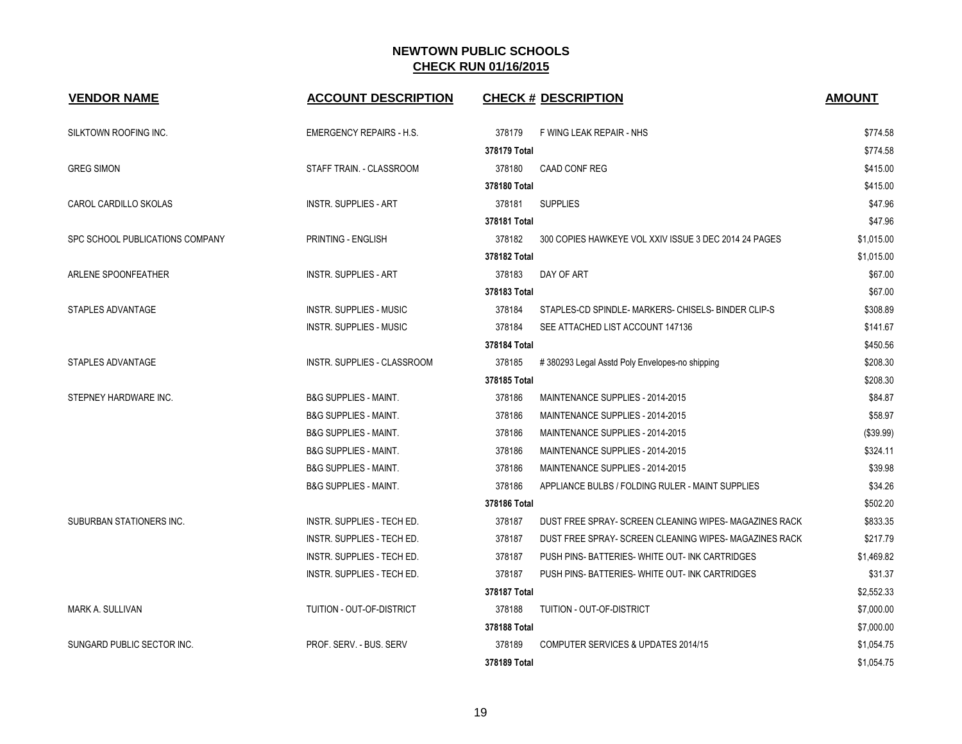| <b>VENDOR NAME</b>              | <b>ACCOUNT DESCRIPTION</b>        | <b>CHECK # DESCRIPTION</b>                                       | <b>AMOUNT</b> |
|---------------------------------|-----------------------------------|------------------------------------------------------------------|---------------|
| SILKTOWN ROOFING INC.           | <b>EMERGENCY REPAIRS - H.S.</b>   | 378179<br>F WING LEAK REPAIR - NHS                               | \$774.58      |
|                                 |                                   | 378179 Total                                                     | \$774.58      |
| <b>GREG SIMON</b>               | STAFF TRAIN. - CLASSROOM          | 378180<br>CAAD CONF REG                                          | \$415.00      |
|                                 |                                   | 378180 Total                                                     | \$415.00      |
| CAROL CARDILLO SKOLAS           | <b>INSTR. SUPPLIES - ART</b>      | <b>SUPPLIES</b><br>378181                                        | \$47.96       |
|                                 |                                   | 378181 Total                                                     | \$47.96       |
| SPC SCHOOL PUBLICATIONS COMPANY | PRINTING - ENGLISH                | 378182<br>300 COPIES HAWKEYE VOL XXIV ISSUE 3 DEC 2014 24 PAGES  | \$1,015.00    |
|                                 |                                   | 378182 Total                                                     | \$1,015.00    |
| ARLENE SPOONFEATHER             | <b>INSTR. SUPPLIES - ART</b>      | 378183<br>DAY OF ART                                             | \$67.00       |
|                                 |                                   | 378183 Total                                                     | \$67.00       |
| STAPLES ADVANTAGE               | <b>INSTR. SUPPLIES - MUSIC</b>    | 378184<br>STAPLES-CD SPINDLE- MARKERS- CHISELS- BINDER CLIP-S    | \$308.89      |
|                                 | INSTR. SUPPLIES - MUSIC           | 378184<br>SEE ATTACHED LIST ACCOUNT 147136                       | \$141.67      |
|                                 |                                   | 378184 Total                                                     | \$450.56      |
| STAPLES ADVANTAGE               | INSTR. SUPPLIES - CLASSROOM       | 378185<br>#380293 Legal Asstd Poly Envelopes-no shipping         | \$208.30      |
|                                 |                                   | 378185 Total                                                     | \$208.30      |
| STEPNEY HARDWARE INC.           | <b>B&amp;G SUPPLIES - MAINT.</b>  | 378186<br>MAINTENANCE SUPPLIES - 2014-2015                       | \$84.87       |
|                                 | <b>B&amp;G SUPPLIES - MAINT.</b>  | 378186<br>MAINTENANCE SUPPLIES - 2014-2015                       | \$58.97       |
|                                 | <b>B&amp;G SUPPLIES - MAINT.</b>  | 378186<br>MAINTENANCE SUPPLIES - 2014-2015                       | (\$39.99)     |
|                                 | <b>B&amp;G SUPPLIES - MAINT.</b>  | 378186<br>MAINTENANCE SUPPLIES - 2014-2015                       | \$324.11      |
|                                 | <b>B&amp;G SUPPLIES - MAINT.</b>  | 378186<br>MAINTENANCE SUPPLIES - 2014-2015                       | \$39.98       |
|                                 | <b>B&amp;G SUPPLIES - MAINT.</b>  | 378186<br>APPLIANCE BULBS / FOLDING RULER - MAINT SUPPLIES       | \$34.26       |
|                                 |                                   | 378186 Total                                                     | \$502.20      |
| SUBURBAN STATIONERS INC.        | INSTR. SUPPLIES - TECH ED.        | DUST FREE SPRAY- SCREEN CLEANING WIPES- MAGAZINES RACK<br>378187 | \$833.35      |
|                                 | <b>INSTR. SUPPLIES - TECH ED.</b> | 378187<br>DUST FREE SPRAY- SCREEN CLEANING WIPES- MAGAZINES RACK | \$217.79      |
|                                 | INSTR. SUPPLIES - TECH ED.        | 378187<br>PUSH PINS-BATTERIES-WHITE OUT-INK CARTRIDGES           | \$1,469.82    |
|                                 | INSTR. SUPPLIES - TECH ED.        | 378187<br>PUSH PINS-BATTERIES-WHITE OUT-INK CARTRIDGES           | \$31.37       |
|                                 |                                   | 378187 Total                                                     | \$2,552.33    |
| <b>MARK A. SULLIVAN</b>         | TUITION - OUT-OF-DISTRICT         | 378188<br>TUITION - OUT-OF-DISTRICT                              | \$7,000.00    |
|                                 |                                   | 378188 Total                                                     | \$7,000.00    |
| SUNGARD PUBLIC SECTOR INC.      | PROF. SERV. - BUS. SERV           | 378189<br>COMPUTER SERVICES & UPDATES 2014/15                    | \$1,054.75    |
|                                 |                                   | 378189 Total                                                     | \$1,054.75    |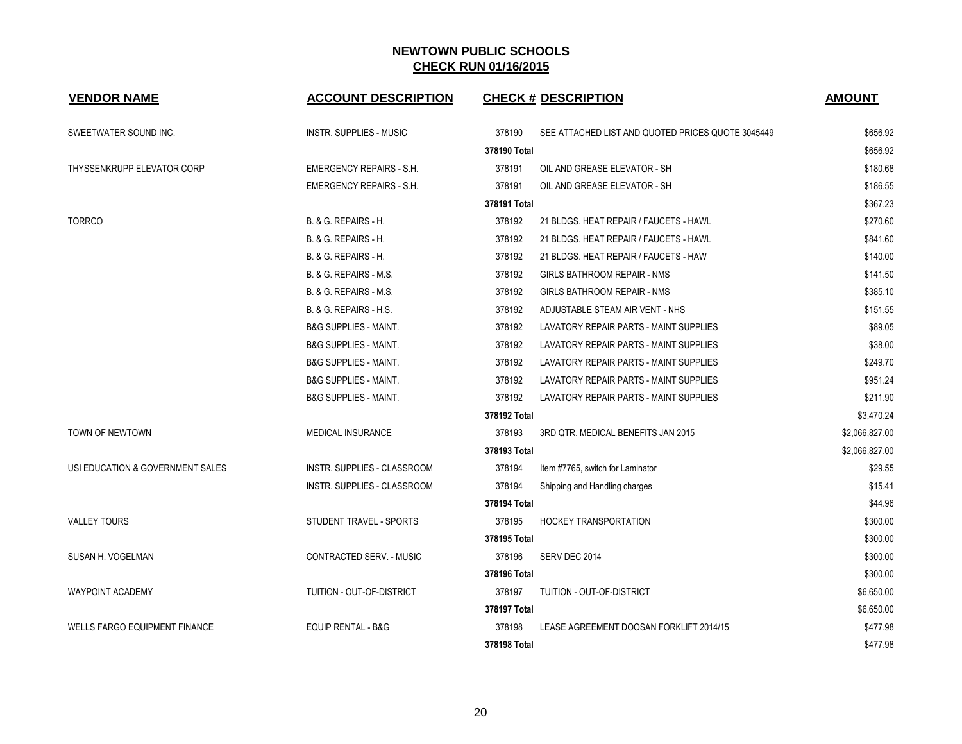| <b>VENDOR NAME</b>                   | <b>ACCOUNT DESCRIPTION</b>         | <b>CHECK # DESCRIPTION</b>                                  | <b>AMOUNT</b>  |
|--------------------------------------|------------------------------------|-------------------------------------------------------------|----------------|
| SWEETWATER SOUND INC.                | INSTR. SUPPLIES - MUSIC            | 378190<br>SEE ATTACHED LIST AND QUOTED PRICES QUOTE 3045449 | \$656.92       |
|                                      |                                    | 378190 Total                                                | \$656.92       |
| THYSSENKRUPP ELEVATOR CORP           | <b>EMERGENCY REPAIRS - S.H.</b>    | 378191<br>OIL AND GREASE ELEVATOR - SH                      | \$180.68       |
|                                      | EMERGENCY REPAIRS - S.H.           | 378191<br>OIL AND GREASE ELEVATOR - SH                      | \$186.55       |
|                                      |                                    | 378191 Total                                                | \$367.23       |
| <b>TORRCO</b>                        | B. & G. REPAIRS - H.               | 378192<br>21 BLDGS. HEAT REPAIR / FAUCETS - HAWL            | \$270.60       |
|                                      | B. & G. REPAIRS - H.               | 378192<br>21 BLDGS. HEAT REPAIR / FAUCETS - HAWL            | \$841.60       |
|                                      | B. & G. REPAIRS - H.               | 378192<br>21 BLDGS. HEAT REPAIR / FAUCETS - HAW             | \$140.00       |
|                                      | <b>B. &amp; G. REPAIRS - M.S.</b>  | 378192<br><b>GIRLS BATHROOM REPAIR - NMS</b>                | \$141.50       |
|                                      | B. & G. REPAIRS - M.S.             | 378192<br><b>GIRLS BATHROOM REPAIR - NMS</b>                | \$385.10       |
|                                      | B. & G. REPAIRS - H.S.             | 378192<br>ADJUSTABLE STEAM AIR VENT - NHS                   | \$151.55       |
|                                      | <b>B&amp;G SUPPLIES - MAINT.</b>   | 378192<br>LAVATORY REPAIR PARTS - MAINT SUPPLIES            | \$89.05        |
|                                      | <b>B&amp;G SUPPLIES - MAINT.</b>   | 378192<br>LAVATORY REPAIR PARTS - MAINT SUPPLIES            | \$38.00        |
|                                      | <b>B&amp;G SUPPLIES - MAINT.</b>   | 378192<br>LAVATORY REPAIR PARTS - MAINT SUPPLIES            | \$249.70       |
|                                      | <b>B&amp;G SUPPLIES - MAINT.</b>   | 378192<br>LAVATORY REPAIR PARTS - MAINT SUPPLIES            | \$951.24       |
|                                      | <b>B&amp;G SUPPLIES - MAINT.</b>   | 378192<br>LAVATORY REPAIR PARTS - MAINT SUPPLIES            | \$211.90       |
|                                      |                                    | 378192 Total                                                | \$3,470.24     |
| TOWN OF NEWTOWN                      | <b>MEDICAL INSURANCE</b>           | 378193<br>3RD QTR. MEDICAL BENEFITS JAN 2015                | \$2,066,827.00 |
|                                      |                                    | 378193 Total                                                | \$2,066,827.00 |
| USI EDUCATION & GOVERNMENT SALES     | INSTR. SUPPLIES - CLASSROOM        | 378194<br>Item #7765, switch for Laminator                  | \$29.55        |
|                                      | <b>INSTR. SUPPLIES - CLASSROOM</b> | 378194<br>Shipping and Handling charges                     | \$15.41        |
|                                      |                                    | 378194 Total                                                | \$44.96        |
| <b>VALLEY TOURS</b>                  | STUDENT TRAVEL - SPORTS            | 378195<br><b>HOCKEY TRANSPORTATION</b>                      | \$300.00       |
|                                      |                                    | 378195 Total                                                | \$300.00       |
| SUSAN H. VOGELMAN                    | CONTRACTED SERV. - MUSIC           | 378196<br>SERV DEC 2014                                     | \$300.00       |
|                                      |                                    | 378196 Total                                                | \$300.00       |
| <b>WAYPOINT ACADEMY</b>              | TUITION - OUT-OF-DISTRICT          | 378197<br>TUITION - OUT-OF-DISTRICT                         | \$6,650.00     |
|                                      |                                    | 378197 Total                                                | \$6,650.00     |
| <b>WELLS FARGO EQUIPMENT FINANCE</b> | EQUIP RENTAL - B&G                 | 378198<br>LEASE AGREEMENT DOOSAN FORKLIFT 2014/15           | \$477.98       |
|                                      |                                    | 378198 Total                                                | \$477.98       |